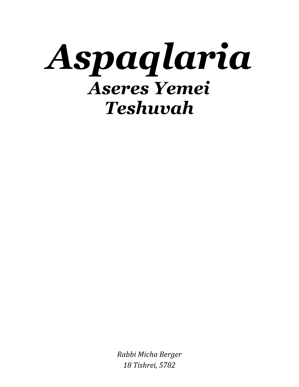

*Rabbi Micha Berger 18 Tishrei, 5782*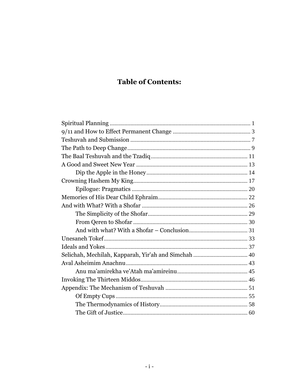# **Table of Contents:**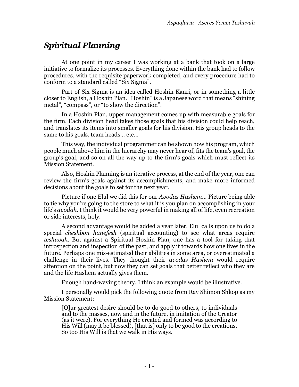# *Spiritual Planning*

At one point in my career I was working at a bank that took on a large initiative to formalize its processes. Everything done within the bank had to follow procedures, with the requisite paperwork completed, and every procedure had to conform to a standard called "[Six Sigma](http://en.wikipedia.org/wiki/Six_Sigma)".

Part of Six Sigma is an idea called [Hoshin Kanri,](http://en.wikipedia.org/wiki/Hoshin_Kanri) or in something a little closer to English, a Hoshin Plan. "Hoshin" is a Japanese word that means "shining metal", "compass", or "to show the direction".

In a Hoshin Plan, upper management comes up with measurable goals for the firm. Each division head takes those goals that his division could help reach, and translates its items into smaller goals for his division. His group heads to the same to his goals, team heads… etc…

This way, the individual programmer can be shown how his program, which people much above him in the hierarchy may never hear of, fits the team's goal, the group's goal, and so on all the way up to the firm's goals which must reflect its Mission Statement.

Also, Hoshin Planning is an iterative process, at the end of the year, one can review the firm's goals against its accomplishments, and make more informed decisions about the goals to set for the next year.

Picture if one Elul we did this for our *Avodas Hashem*… Picture being able to tie why you're going to the store to what it is you plan on accomplishing in your life's *avodah*. I think it would be very powerful in making all of life, even recreation or side interests, holy.

A second advantage would be added a year later. Elul calls upon us to do a special *cheshbon hanefesh* (spiritual accounting) to see what areas require *teshuvah*. But against a Spiritual Hoshin Plan, one has a tool for taking that introspection and inspection of the past, and apply it towards how one lives in the future. Perhaps one mis-estimated their abilities in some area, or overestimated a challenge in their lives. They thought their *avodas Hashem* would require attention on the point, but now they can set goals that better reflect who they are and the life Hashem actually gives them.

Enough hand-waving theory. I think an example would be illustrative.

I personally would pick the following quote from Rav Shimon Shkop as my Mission Statement:

[O]ur greatest desire should be to do good to others, to individuals and to the masses, now and in the future, in imitation of the Creator (as it were). For everything He created and formed was according to His Will (may it be blessed), [that is] only to be good to the creations. So too His Will is that we walk in His ways.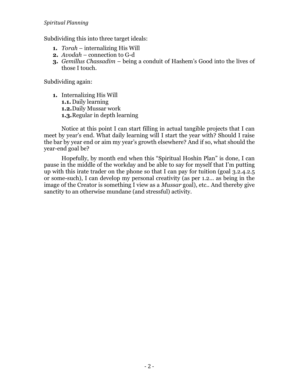Subdividing this into three target ideals:

- **1.** *Torah* internalizing His Will
- **2.** *Avodah* connection to G-d
- **3.** *Gemillus Chassadim* being a conduit of Hashem's Good into the lives of those I touch.

Subdividing again:

**1.** Internalizing His Will **1.1.** Daily learning **1.2.**Daily Mussar work **1.3.**Regular in depth learning

Notice at this point I can start filling in actual tangible projects that I can meet by year's end. What daily learning will I start the year with? Should I raise the bar by year end or aim my year's growth elsewhere? And if so, what should the year-end goal be?

Hopefully, by month end when this "Spiritual Hoshin Plan" is done, I can pause in the middle of the workday and be able to say for myself that I'm putting up with this irate trader on the phone so that I can pay for tuition (goal 3.2.4.2.5 or some-such), I can develop my personal creativity (as per 1.2… as being in the image of the Creator is something I view as a *Mussar* goal), etc.. And thereby give sanctity to an otherwise mundane (and stressful) activity.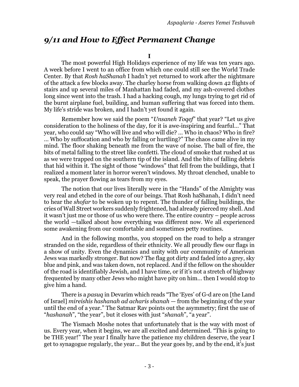## *9/11 and How to Effect Permanent Change*

**I**

The most powerful High Holidays experience of my life was ten years ago. A week before I went to an office from which one could still see the World Trade Center. By that *Rosh haShanah* I hadn't yet returned to work after the nightmare of the attack a few blocks away. The charley horse from walking down 42 flights of stairs and up several miles of Manhattan had faded, and my ash-covered clothes long since went into the trash. I had a hacking cough, my lungs trying to get rid of the burnt airplane fuel, building, and human suffering that was forced into them. My life's stride was broken, and I hadn't yet found it again.

Remember how we said the poem "*Unsaneh Toqef*" that year? "Let us give consideration to the holiness of the day, for it is awe-inspiring and fearful…" That year, who could say "Who will live and who will die? … Who in chaos? Who in fire? … Who by suffocation and who by falling or hurtling?" The chaos came alive in my mind. The floor shaking beneath me from the wave of noise. The ball of fire, the bits of metal falling to the street like confetti. The cloud of smoke that rushed at us as we were trapped on the southern tip of the island. And the bits of falling debris that hid within it. The sight of those "windows" that fell from the buildings, that I realized a moment later in horror weren't windows. My throat clenched, unable to speak, the prayer flowing as tears from my eyes.

The notion that our lives literally were in the "Hands" of the Almighty was very real and etched in the core of our beings. That Rosh haShanah, I didn't need to hear the *shofar* to be woken up to repent. The thunder of falling buildings, the cries of Wall Street workers suddenly frightened, had already pierced my shell. And it wasn't just me or those of us who were there. The entire country – people across the world —talked about how everything was different now. We all experienced some awakening from our comfortable and sometimes petty routines.

And in the following months, you stopped on the road to help a stranger stranded on the side, regardless of their ethnicity. We all proudly flew our flags in a show of unity. Even the dynamics and unity with our community of American Jews was markedly stronger. But now? The flag got dirty and faded into a grey, sky blue and pink, and was taken down, not replaced. And if the fellow on the shoulder of the road is identifiably Jewish, and I have time, or if it's not a stretch of highway frequented by many other Jews who might have pity on him… then I would stop to give him a hand.

There is a *pasuq* in Devarim which reads "The 'Eyes' of G-d are on [the Land of Israel] *mireishis hashanah ad acharis shanah* — from the beginning of the year until the end of a year." The Satmar Rav points out the asymmetry; first the use of "*hashanah*", "the year", but it closes with just "*shanah*", "a year".

The Yismach Moshe notes that unfortunately that is the way with most of us. Every year, when it begins, we are all excited and determined. "This is going to be THE year!" The year I finally have the patience my children deserve, the year I get to synagogue regularly, the year… But the year goes by, and by the end, it's just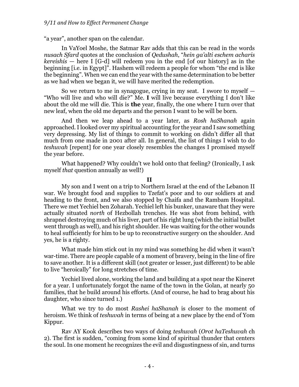"a year", another span on the calendar.

In VaYoel Moshe, the Satmar Rav adds that this can be read in the words *nusach Sfard* quotes at the conclusion of *Qedushah*, "*hein ga'alti eschem acharis kereishis* — here I [G-d] will redeem you in the end [of our history] as in the beginning [i.e. in Egypt]". Hashem will redeem a people for whom "the end is like the beginning". When we can end the year with the same determination to be better as we had when we began it, we will have merited the redemption.

So we return to me in synagogue, crying in my seat. I swore to myself  $-$ "Who will live and who will die?" Me. **I** will live because everything I don't like about the old me will die. This is **the** year, finally, the one where I turn over that new leaf, when the old me departs and the person I want to be will be born.

And then we leap ahead to a year later, as *Rosh haShanah* again approached. I looked over my spiritual accounting for the year and I saw something very depressing. My list of things to commit to working on didn't differ all that much from one made in 2001 after all. In general, the list of things I wish to do *teshuvah* [repent] for one year closely resembles the changes I promised myself the year before.

What happened? Why couldn't we hold onto that feeling? (Ironically, I ask myself *that* question annually as well!)

**II**

My son and I went on a trip to Northern Israel at the end of the Lebanon II war. We brought food and supplies to Tzefat's poor and to our soldiers at and heading to the front, and we also stopped by Chaifa and the Rambam Hospital. There we met Yechiel ben Zoharah. Yechiel left his bunker, unaware that they were actually situated *north* of Hezbollah trenches. He was shot from behind, with shrapnel destroying much of his liver, part of his right lung (which the initial bullet went through as well), and his right shoulder. He was waiting for the other wounds to heal sufficiently for him to be up to reconstructive surgery on the shoulder. And yes, he is a righty.

What made him stick out in my mind was something he did when it wasn't war-time. There are people capable of a moment of bravery, being in the line of fire to save another. It is a different skill (not greater or lesser, just different) to be able to live "heroically" for long stretches of time.

Yechiel lived alone, working the land and building at a spot near the Kineret for a year. I unfortunately forgot the name of the town in the Golan, at nearly 50 families, that he build around his efforts. (And of course, he had to brag about his daughter, who since turned 1.)

What we try to do most *Rashei haShanah* is closer to the moment of heroism. We think of *teshuvah* in terms of being at a new place by the end of Yom Kippur.

<span id="page-5-0"></span>Rav AY Kook describes two ways of doing *teshuvah* (*Orot haTeshuvah* ch 2). The first is sudden, "coming from some kind of spiritual thunder that centers the soul. In one moment he recognizes the evil and disgustingness of sin, and turns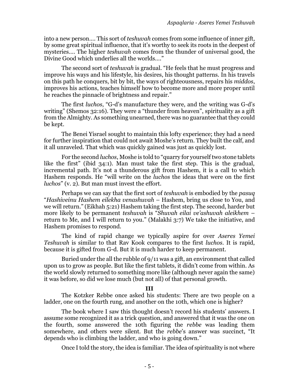into a new person…. This sort of *teshuvah* comes from some influence of inner gift, by some great spiritual influence, that it's worthy to seek its roots in the deepest of mysteries…. The higher *teshuvah* comes from the thunder of universal good, the Divine Good which underlies all the worlds…."

The second sort of *teshuvah* is gradual. "He feels that he must progress and improve his ways and his lifestyle, his desires, his thought patterns. In his travels on this path he conquers, bit by bit, the ways of righteousness, repairs his *middos*, improves his actions, teaches himself how to become more and more proper until he reaches the pinnacle of brightness and repair."

The first *luchos*, "G-d's manufacture they were, and the writing was G-d's writing" (Shemos 32:16). They were a "thunder from heaven", spirituality as a gift from the Almighty. As something unearned, there was no guarantee that they could be kept.

The Benei Yisrael sought to maintain this lofty experience; they had a need for further inspiration that could not await Moshe's return. They built the calf, and it all unraveled. That which was quickly gained was just as quickly lost.

For the second *luchos*, Moshe is told to "quarry for yourself two stone tablets like the first" (ibid 34:1). Man must take the first step. This is the gradual, incremental path. It's not a thunderous gift from Hashem, it is a call to which Hashem responds. He "will write on the *luchos* the ideas that were on the first *luchos*" (v. 2). But man must invest the effort.

Perhaps we can say that the first sort of *teshuvah* is embodied by the *pasuq* "*Hashiveinu Hashem eilekha venashuvah* – Hashem, bring us close to You, and we will return." (Eikhah 5:21) Hashem taking the first step. The second, harder but more likely to be permanent *teshuvah* is "*Shuvah eilai ve'ashuvah aleikhem* – return to Me, and I will return to you." (Malakhi 3:7) We take the initiative, and Hashem promises to respond.

The kind of rapid change we typically aspire for over *Aseres Yemei Teshuvah* is similar to that Rav Kook compares to the first *luchos*. It is rapid, because it is gifted from G-d. But it is much harder to keep permanent.

Buried under the all the rubble of 9/11 was a gift, an environment that called upon us to grow as people. But like the first tablets, it didn't come from within. As the world slowly returned to something more like (although never again the same) it was before, so did we lose much (but not all) of that personal growth.

#### **III**

The Kotzker Rebbe once asked his students: There are two people on a ladder, one on the fourth rung, and another on the 10th, which one is higher?

The book where I saw this thought doesn't record his students' answers. I assume some recognized it as a trick question, and answered that it was the one on the fourth, some answered the 10th figuring the *rebbe* was leading them somewhere, and others were silent. But the *rebbe*'s answer was succinct, "It depends who is climbing the ladder, and who is going down."

Once I told the story, the idea is familiar. The idea of spirituality is not where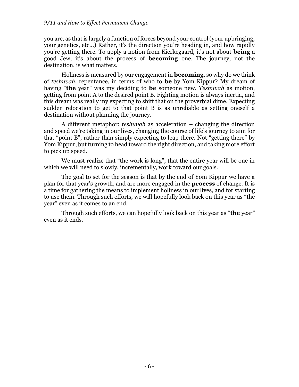#### *9/11 and How to Effect Permanent Change*

you are, as that is largely a function of forces beyond your control (your upbringing, your genetics, etc…) Rather, it's the direction you're heading in, and how rapidly you're getting there. To apply a notion from Kierkegaard, it's not about **being** a good Jew, it's about the process of **becoming** one. The journey, not the destination, is what matters.

Holiness is measured by our engagement in **becoming**, so why do we think of *teshuvah*, repentance, in terms of who to **be** by Yom Kippur? My dream of having "**the** year" was my deciding to **be** someone new. *Teshuvah* as motion, getting from point A to the desired point B. Fighting motion is always inertia, and this dream was really my expecting to shift that on the proverbial dime. Expecting sudden relocation to get to that point B is as unreliable as setting oneself a destination without planning the journey.

A different metaphor: *teshuvah* as acceleration – changing the direction and speed we're taking in our lives, changing the course of life's journey to aim for that "point B", rather than simply expecting to leap there. Not "getting there" by Yom Kippur, but turning to head toward the right direction, and taking more effort to pick up speed.

We must realize that "the work is long", that the entire year will be one in which we will need to slowly, incrementally, work toward our goals.

The goal to set for the season is that by the end of Yom Kippur we have a plan for that year's growth, and are more engaged in the **process** of change. It is a time for gathering the means to implement holiness in our lives, and for starting to use them. Through such efforts, we will hopefully look back on this year as "the year" even as it comes to an end.

Through such efforts, we can hopefully look back on this year as "**the** year" even as it ends.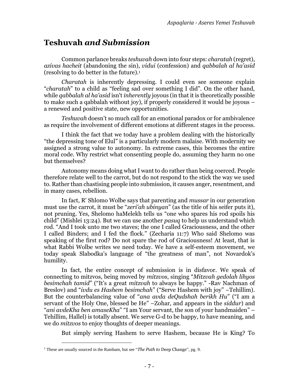## <span id="page-8-0"></span>**Teshuvah** *and Submission*

Common parlance breaks *teshuvah* down into four steps: *charatah* (regret), *azivas hacheit* (abandoning the sin), *vidui* (confession) and *qabbalah al ha'asid*  (resolving to do better in the future).<sup>1</sup>

*Charatah* is inherently depressing. I could even see someone explain "*charatah*" to a child as "feeling sad over something I did". On the other hand, while *qabbalah al ha'asid* isn't *inherently* joyous (in that it is theoretically possible to make such a qabbalah without joy), if properly considered it would be joyous – a renewed and positive state, new opportunities.

*Teshuvah* doesn't so much call for an emotional paradox or for ambivalence as require the involvement of different emotions at different stages in the process.

I think the fact that we today have a problem dealing with the historically "the depressing tone of Elul" is a particularly modern malaise. With modernity we assigned a strong value to autonomy. In extreme cases, this becomes the entire moral code. Why restrict what consenting people do, assuming they harm no one but themselves?

Autonomy means doing what I want to do rather than being coerced. People therefore relate well to the carrot, but do not respond to the stick the way we used to. Rather than chastising people into submission, it causes anger, resentment, and in many cases, rebellion.

In fact, R' Shlomo Wolbe says that parenting and *mussar* in our generation must use the carrot, it must be "*zeri'ah ubinyan*" (as the title of his seifer puts it), not pruning. Yes, Shelomo haMelekh tells us "one who spares his rod spoils his child" (Mishlei 13:24). But we can use another *pasuq* to help us understand which rod. "And I took unto me two staves; the one I called Graciousness, and the other I called Binders; and I fed the flock." (Zecharia 11:7) Who said Shelomo was speaking of the first rod? Do not spare the rod of Graciousness! At least, that is what Rabbi Wolbe writes we need today. We have a self-esteem movement, we today speak Slabodka's language of "the greatness of man", not Novardok's humility.

In fact, the entire concept of submission is in disfavor. We speak of connecting to mitzvos, being moved by *mitzvos*, singing "*Mitzvah gedolah lihyos besimchah tamid*" ("It's a great *mitzvah* to always be happy." -Rav Nachman of Breslov) and "*ivdu es Hashem besimchah*" ("Serve Hashem with joy" –Tehillim). But the counterbalancing value of "*ana avda deQudshah berikh Hu*" ("I am a servant of the Holy One, blessed be He" –Zohar, and appears in the *siddur*) and "*ani avdeKha ben amaseKha*" "I am Your servant, the son of your handmaiden" – Tehillim, Hallel) is totally absent. We serve G-d to be happy, to have meaning, and we do *mitzvos* to enjoy thoughts of deeper meanings.

But simply serving Hashem to serve Hashem, because He is King? To

<sup>1</sup> These are usually sourced in the Rambam, but see "*The Path to* [Deep Change](#page-10-0)", pg. [9.](#page-10-0)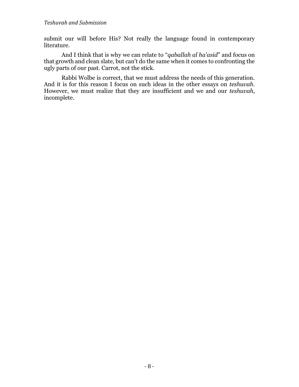#### *Teshuvah and Submission*

submit our will before His? Not really the language found in contemporary literature.

And I think that is why we can relate to "*qaballah al ha'asid*" and focus on that growth and clean slate, but can't do the same when it comes to confronting the ugly parts of our past. Carrot, not the stick.

Rabbi Wolbe is correct, that we must address the needs of this generation. And it is for this reason I focus on such ideas in the other essays on *teshuvah*. However, we must realize that they are insufficient and we and our *teshuvah*, incomplete.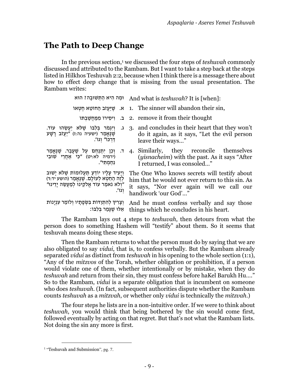## <span id="page-10-0"></span>**The Path to Deep Change**

In the previous section,<sup>1</sup> we discussed the four steps of *teshuvah* commonly discussed and attributed to the Rambam. But I want to take a step back at the steps listed in Hilkhos Teshuvah 2:2, because when I think there is a message there about how to effect deep change that is missing from the usual presentation. The Rambam writes:

|                                                                                                                                                                         | וּמַה הִיא הַתְּשׁוּבָה? And what is teshuvah? It is [when]:                                                                                                                    |
|-------------------------------------------------------------------------------------------------------------------------------------------------------------------------|---------------------------------------------------------------------------------------------------------------------------------------------------------------------------------|
|                                                                                                                                                                         | ו. שֵׁיַעֲזֹב הַחוֹטָא חֵטְאוֹ 1. The sinner will abandon their sin,                                                                                                            |
|                                                                                                                                                                         | 2. remove it from their thought בּ. וִיסְירוֹ מְמַחֲשָׁבִתּוֹ                                                                                                                   |
| שַׁנֵּאֲמַר (ישעיה נה:ז) "יַעַזֹב רַשָׁע<br>ַדַּרְכּוֹ״ וְגוֹ׳.                                                                                                         | יַ גַּ. וְיִגְמֹר בְּלְבּוֹ שֵׁלֹא יַעֲשָׂהוּ עוֹד. 3. and concludes in their heart that they won't<br>do it again, as it says, "Let the evil person"<br>leave their ways"      |
| (ירמיה לא:יט) "כִּי אַחֲרֵי שׁוּבָי<br>נחמתי".                                                                                                                          | יּר וְכֵן יִתְנַחֵם עַל שֶׁעָבַר. שֶׁנֶּאֱמַר 4. Similarly, they reconcile themselves<br>( <i>yisnacheim</i> ) with the past. As it says "After"<br>I returned, I was consoled" |
| וַיַעִיד עַלַיו יוֹדֶעַ תַעֲלוּמוֹת שֶׁלֹא יַשׁוּב<br>ֹלְזֶה הַחֵטְא לְעוֹלָם. שֶׁנֶּאֱמַר (הושע יד:ד)<br>״וְלֹא נֹאמַר עוֹד אֱלֹקֵינוּ לְמַעֲשֶׂה יָדֵינוּ״<br>יְגוֹ'. | The One Who knows secrets will testify about<br>him that he would not ever return to this sin. As<br>it says, "Nor ever again will we call our<br>handiwork 'our God'"          |
| וְצָרִיךְ לְהִתְוַדוֹת בִּשְׂפָתָיו וְלוֹמַר עִנְיָנוֹת<br>אֵלוּ שֶׁגַּמַר בִּלְבּוֹ:                                                                                   | And he must confess verbally and say those<br>things which he concludes in his heart.                                                                                           |

The Rambam lays out 4 steps to *teshuvah*, then detours from what the person does to something Hashem will "testify" about them. So it seems that teshuvah means doing these steps.

Then the Rambam returns to what the person must do by saying that we are also obligated to say *vidui*, that is, to confess verbally. But the Rambam already separated *vidui* as distinct from *teshuvah* in his opening to the whole section (1:1), "Any of the *mitzvos* of the Torah, whether obligation or prohibition, if a person would violate one of them, whether intentionally or by mistake, when they do *teshuvah* and return from their sin, they must confess before haKel Barukh Hu…." So to the Rambam, *vidui* is a separate obligation that is incumbent on someone who does *teshuvah*. (In fact, subsequent authorities dispute whether the Rambam counts *teshuvah* as a *mitzvah*, or whether only *vidui* is technically the *mitzvah*.)

The four steps he lists are in a non-intuitive order. If we were to think about *teshuvah*, you would think that being bothered by the sin would come first, followed eventually by acting on that regret. But that's not what the Rambam lists. Not doing the sin any more is first.

<sup>&</sup>lt;sup>1</sup> "Teshuvah [and Submission](#page-8-0)", pg[. 7.](#page-8-0)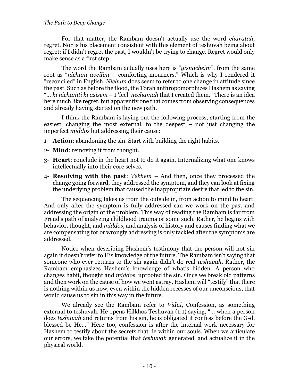#### *The Path to Deep Change*

For that matter, the Rambam doesn't actually use the word *charatah*, regret. Nor is his placement consistent with this element of teshuvah being about regret; if I didn't regret the past, I wouldn't be trying to change. Regret would only make sense as a first step.

The word the Rambam actually uses here is "*yisnacheim*", from the same root as "*nichum aveilim* – comforting mourners." Which is why I rendered it "reconciled" in English. *Nichum* does seem to refer to one change in attitude since the past. Such as before the flood, the Torah anthropomorphizes Hashem as saying "… *ki nichamti ki asisem* – I 'feel' *nechamah* that I created them." There is an idea here much like regret, but apparently one that comes from observing consequences and already having started on the new path.

I think the Rambam is laying out the following process, starting from the easiest, changing the most external, to the deepest – not just changing the imperfect *middos* but addressing their cause:

- 1- **Action**: abandoning the sin. Start with building the right habits.
- 2- **Mind**: removing it from thought.
- 3- **Heart**: conclude in the heart not to do it again. Internalizing what one knows intellectually into their core selves.
- 4- **Resolving with the past**: *Vekhein* And then, once they processed the change going forward, they addressed the symptom, and they can look at fixing the underlying problem that caused the inappropriate desire that led to the sin.

The sequencing takes us from the outside in, from action to mind to heart. And only after the symptom is fully addressed can we work on the past and addressing the origin of the problem. This way of reading the Rambam is far from Freud's path of analyzing childhood trauma or some such. Rather, he begins with behavior, thought, and *middos*, and analysis of history and causes finding what we are compensating for or wrongly addressing is only tackled after the symptoms are addressed.

Notice when describing Hashem's testimony that the person will not sin again it doesn't refer to His knowledge of the future. The Rambam isn't saying that someone who ever returns to the sin again didn't do real *teshuvah*. Rather, the Rambam emphasizes Hashem's knowledge of what's hidden. A person who changes habit, thought and *middos*, uprooted the sin. Once we break old patterns and then work on the cause of how we went astray, Hashem will "testify" that there is nothing within us now, even within the hidden recesses of our unconscious, that would cause us to sin in this way in the future.

We already see the Rambam refer to *Vidui*, Confession, as something external to teshuvah. He opens Hilkhos Teshuvah (1:1) saying, "… when a person does *teshuvah* and returns from his sin, he is obligated it confess before the G-d, blessed be He…" Here too, confession is after the internal work necessary for Hashem to testify about the secrets that lie within our souls. When we articulate our errors, we take the potential that *teshuvah* generated, and actualize it in the physical world.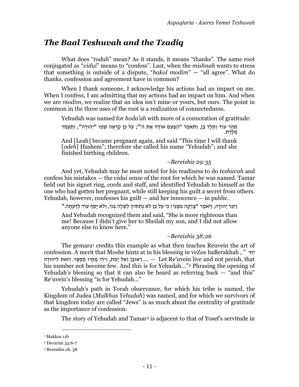# *The Baal Teshuvah and the Tzadiq*

What does "*todah*" mean? As it stands, it means "thanks". The same root conjugated as "*vidui*" means to "confess". Last, when the *mishnah* wants to stress that something is outside of a dispute, "*hakol modim*" — "all agree". What do thanks, confession and agreement have in common?

When I thank someone, I acknowledge his actions had an impact on me. When I confess, I am admitting that my actions had an impact on him. And when we are *modim*, we realize that an idea isn't mine or yours, but ours. The point in common in the three uses of the root is a realization of connectedness.

Yehudah was named for *hoda'ah* with more of a connotation of gratitude:

תַהַר עוֹד וַתֵּלֵד בֵּן, וַתֹּאמֶר "הַפַּעַם אוֹדֶה אֶת ה'"; עַל כֵּן קָרְאָה שְׁמוֹ "יְהוּדָה"; וַתַּעֲמֹד מִ ּלֶׁדֶׁ ת.

And [Leah] became pregnant again, and said "This time I will thank [*odeh*] Hashem"; therefore she called his name "Yehudah"; and she finished birthing children.

#### *–Bereishis 29:35*

And yet, Yehudah may be most noted for his readiness to do *teshuvah* and confess his mistakes — the *vidui* sense of the root for which he was named. Tamar held out his signet ring, cords and staff, and identified Yehudah to himself as the one who had gotten her pregnant, while still keeping his guilt a secret from others. Yehudah, however, confesses his guilt  $-$  and her innocence  $-$  in public.

וַיַּכֵּר יְהוּדַה, וַיֹּאמֶר "צַדְקַה מִמֶּנִּי! כִּי עַל כֵּן לֹא נְתַתִּיהָ לְשֵׁלַה בְנִי, וְלֹא יַסַף עוֹד לְדַעְתָּה."

And Yehudah recognized them and said, "She is more righteous than me! Because I didn't give her to Sheilah my son, and I did not allow anyone else to know here."

### *–Bereishis 38:26*

The gemara<sup>1</sup> credits this example as what then teaches Reuvein the art of confession. A merit that Moshe hints at in his blessing in veZos haBerakhah , " י ִחְּי האוּבֵן וְאל יַמֹת, וִיהִי מִתָּיו מִסְפֵּר. וְּזֹאת לִיהוּדָה... — Let Re'uvein live and not perish, that his number not become few. And this is for Yehudah..."<sup>2</sup> Phrasing the opening of Yehudah's blessing so that it can also be heard as referring back  $-$  "and this" Re'uvein's blessing "is for Yehudah…"

Yehudah's path in Torah observance, for which his tribe is named, the Kingdom of Judea (*Malkhus Yehudah*) was named, and for which we survivors of that kingdom today are called "Jews" is as much about the centrality of gratitude as the importance of confession.

The story of Yehudah and Tamar<sup>3</sup> is adjacent to that of Yosef's servitude in

<sup>&</sup>lt;sup>1</sup> Makkos 11b

<sup>2</sup> Devarim 33:6-7

<sup>3</sup> Bereishis ch. 38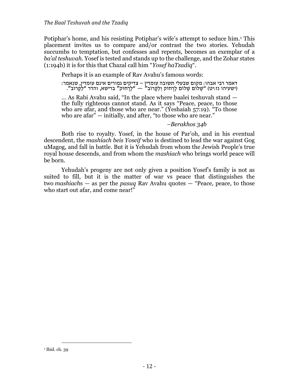Potiphar's home, and his resisting Potiphar's wife's attempt to seduce him. <sup>1</sup> This placement invites us to compare and/or contrast the two stories. Yehudah succumbs to temptation, but confesses and repents, becomes an exemplar of a *ba'al teshuvah*. Yosef is tested and stands up to the challenge, and the Zohar states (1:194b) it is for this that Chazal call him "*Yosef haTzadiq*".

Perhaps it is an example of Rav Avahu's famous words:

דאמר רבי אבהו: מקום שבעלי תשובה עומדין – צדיקים גמורים אינם עומדין, שנאמר : (ישעיהו נז:יט) "שָלוֹם שָׁלוֹם לָרָחוֹק וְלַקָּרוֹב" — "לְרָחוֹק" ברישא, והדר "לַקָּרוֹב".

… As Rabi Avahu said, "In the place where baalei teshuvah stand the fully righteous cannot stand. As it says "Peace, peace, to those who are afar, and those who are near." (Yeshaiah 57:19). "To those who are afar" — initially, and after, "to those who are near."

### *–Berakhos 34b*

Both rise to royalty. Yosef, in the house of Par'oh, and in his eventual descendent, the *mashiach beis Yoseif* who is destined to lead the war against Gog uMagog, and fall in battle. But it is Yehudah from whom the Jewish People's true royal house descends, and from whom the *mashiach* who brings world peace will be born.

Yehudah's progeny are not only given a position Yosef's family is not as suited to fill, but it is the matter of war vs peace that distinguishes the two *mashiach*s — as per the *pasuq* Rav Avahu quotes — "Peace, peace, to those who start out afar, and come near!"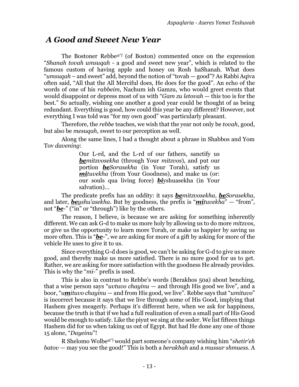## *A Good and Sweet New Year*

The Bostoner Rebbe*zt"l* (of Boston) commented once on the expression "*Shanah tovah umsuqah* - a good and sweet new year", which is related to the famous custom of having apple and honey on Rosh haShanah. What does "*umsuqah* – and sweet" add, beyond the notion of "tovah — good"? As Rabbi Aqiva often said, "All that the All Merciful does, He does for the good". An echo of the words of one of his *rabbeim*, Nachum ish Gamzu, who would greet events that would disappoint or depress most of us with "*Gam zu letovah* — this too is for the best." So actually, wishing one another a good year could be thought of as being redundant. Everything is good, how could this year be any different? However, not everything I was told was "for my own good" was particularly pleasant.

Therefore, the *rebbe* teaches, we wish that the year not only be *tovah*, good, but also be *mesuqah*, sweet to our perception as well.

Along the same lines, I had a thought about a phrase in Shabbos and Yom Tov *davening*:

> Our L-rd, and the L-rd of our fathers, sanctify us *bemitzvosekha* (through Your *mitzvos*), and put our portion *beSorasekha* (in Your Torah), satisfy us *mituvekha* (from Your Goodness), and make us (or: our souls qua living force) *bi*yshuasekha (in Your salvation)…

The predicate prefix has an oddity: it says *bemitzvosekha*, *beSorasekha*, and later, *beyshu'asekha*. But by goodness, the prefix is "*mituvekha*" — "from", not "*be*-" ("in" or "through") like by the others.

The reason, I believe, is because we are asking for something inherently different. We can ask G-d to make us more holy by allowing us to do more *mitzvos*, or give us the opportunity to learn more Torah, or make us happier by saving us more often. This is "*be*-", we are asking for more of a gift by asking for more of the vehicle He uses to give it to us.

Since everything G-d does is good, we can't be asking for G-d to give us more good, and thereby make us more satisfied. There is no more good for us to get. Rather, we are asking for more satisfaction with the goodness He already provides. This is why the "*mi*-" prefix is used.

This is also in contrast to Rebbe's words (Berakhos 50a) about benching, that a wise person says "*uvtuvo chayinu* — and through His good we live", and a boor, "*umituvo chayinu* — and from His good, we live". Rebbe says that "*umituvo*" is incorrect because it says that we live through some of His Good, implying that Hashem gives meagerly. Perhaps it's different here, when we ask for happiness, because the truth is that if we had a full realization of even a small part of His Good would be enough to satisfy. Like the piyut we sing at the seder. We list fifteen things Hashem did for us when taking us out of Egypt. But had He done any one of those 15 alone, "*Dayeinu*"!

R Shelomo Wolbezt"<sup>l</sup> would part someone's company wishing him "*shetir'eh batov* — may you see the good!" This is both a *berakhah* and a *mussar shmuess*. A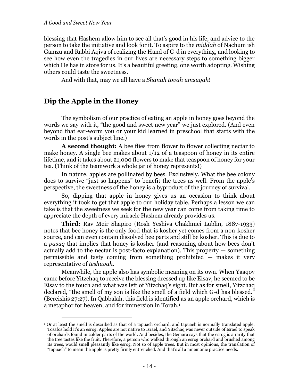blessing that Hashem allow him to see all that's good in his life, and advice to the person to take the initiative and look for it. To aspire to the *middah* of Nachum ish Gamzu and Rabbi Aqiva of realizing the Hand of G-d in everything, and looking to see how even the tragedies in our lives are necessary steps to something bigger which He has in store for us. It's a beautiful greeting, one worth adopting. Wishing others could taste the sweetness.

And with that, may we all have a *Shanah tovah umsuqah*!

## **Dip the Apple in the Honey**

The symbolism of our practice of eating an apple in honey goes beyond the words we say with it, "the good and sweet new year" we just explored. (And even beyond that ear-worm you or your kid learned in preschool that starts with the words in the post's subject line.)

**A second thought:** A bee flies from flower to flower collecting nectar to make honey. A single bee makes about 1/12 of a teaspoon of honey in its entire lifetime, and it takes about 21,000 flowers to make that teaspoon of honey for your tea. (Think of the teamwork a whole jar of honey represents!)

In nature, apples are pollinated by bees. Exclusively. What the bee colony does to survive "just so happens" to benefit the trees as well. From the apple's perspective, the sweetness of the honey is a byproduct of the journey of survival.

So, dipping that apple in honey gives us an occasion to think about everything it took to get that apple to our holiday table. Perhaps a lesson we can take is that the sweetness we seek for the new year can come from taking time to appreciate the depth of every miracle Hashem already provides us.

**Third:** Rav Meir Shapiro (Rosh Yeshiva Chakhmei Lublin, 1887-1933) notes that bee honey is the only food that is kosher yet comes from a non-kosher source, and can even contain dissolved bee parts and still be kosher. This is due to a *pasuq* that implies that honey is kosher (and reasoning about how bees don't actually add to the nectar is post-facto explanation). This property — something permissible and tasty coming from something prohibited — makes it very representative of *teshuvah*.

Meanwhile, the apple also has symbolic meaning on its own. When Yaaqov came before Yitzchaq to receive the blessing dressed up like Eisav, he seemed to be Eisav to the touch and what was left of Yitzchaq's sight. But as for smell, Yitzchaq declared, "the smell of my son is like the smell of a field which G-d has blessed." (Bereishis 27:27). In Qabbalah, this field is identified as an apple orchard, which is a metaphor for heaven, and for immersion in Torah.<sup>1</sup>

<sup>1</sup> Or at least the smell is described as that of a tapuach orchard, and tapuach is normally translated apple. Tosafos hold it's an esrog. Apples are not native to Israel, and Yitzchaq was never outside of Israel to speak of orchards found in colder parts of the world. And besides, the Gemara says that the esrog is a rarity that the tree tastes like the fruit. Therefore, a person who walked through an esrog orchard and brushed among its trees, would smell pleasantly like esrog. Not so of apple trees. But in most opinions, the translation of "tapuach" to mean the apple is pretty firmly entrenched. And that's all a mnemonic practice needs.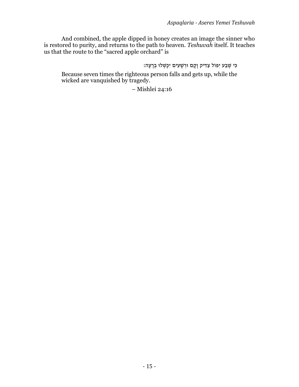And combined, the apple dipped in honey creates an image the sinner who is restored to purity, and returns to the path to heaven. *Teshuvah* itself. It teaches us that the route to the "sacred apple orchard" is

כִּי שֶׁבַע יִפּוֹל צַדִּיק וַקֵם וּרִשָּׁעִים יִכַּשְׁלוּ בְרַעָה:

Because seven times the righteous person falls and gets up, while the wicked are vanquished by tragedy.

– Mishlei 24:16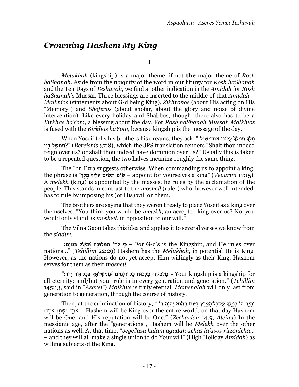## <span id="page-18-0"></span>*Crowning Hashem My King*

**I**

*Melukhah* (kingship) is a major theme, if not **the** major theme of *Rosh haShanah*. Aside from the ubiquity of the word in our liturgy for *Rosh haShanah* and the Ten Days of *Teshuvah*, we find another indication in the *Amidah* for *Rosh haShanah*'s Mussaf. Three blessings are inserted to the middle of that *Amidah* – *Malkhios* (statements about G-d being King), *Zikhronos* (about His acting on His "Memory") and *Shoferos* (about shofar, about the glory and noise of divine intervention). Like every holiday and Shabbos, though, there also has to be a *Birkhas haYom*, a blessing about the day. For *Rosh haShanah Mussaf*, *Malkhios* is fused with the *Birkhas haYom*, because kingship is the message of the day.

מִלְּדְּ תִּמְלָךְ עִלְינוּ אִם־מִשְׁוֹל " .When Yoseif tells his brothers his dreams, they ask המשל בּנוּ?" (Bereishis 37:8), which the JPS translation renders "Shalt thou indeed reign over us? or shalt thou indeed have dominion over us?" Usually this is taken to be a repeated question, the two halves meaning roughly the same thing.

The Ibn Ezra suggests otherwise. When commanding us to appoint a king, the phrase is "שׁוֹם תַּשִׂים עַלֵּיךְ מֵלֶךְ" appoint for yourselves a king" (Vevarim 17:15). A *melekh* (king) is appointed by the masses, he rules by the acclamation of the people. This stands in contrast to the *mosheil* (ruler) who, however well intended, has to rule by imposing his (or His) will on them.

The brothers are saying that they weren't ready to place Yoseif as a king over themselves. "You think you would be *melekh*, an accepted king over us? No, you would only stand as *mosheil*, in opposition to our will."

The Vilna Gaon takes this idea and applies it to several verses we know from the *siddur*.

 over rules He and ,Kingship the is s'd-G For – ּכִׂ֣י לַה' הַ מְּ לּוכָָּ֑ה ּוּ֝מֹׁשֵ ֵׁ֗ל בַ גוֹיִִֽם׃" nations…" (*Tehillim* 22:29) Hashem has the *Melukhah*, in potential He is King. However, as the nations do not yet accept Him willingly as their King, Hashem serves for them as their *mosheil*.

 for kingship a is kingship Your - מִַֽ לְּכּותְּ ךֵׁ֗ מַ לְּכּׁ֥ות ּכָל־עִֹֽ לָמִ ָּ֑ים ּוּ֝מִֶֽׁ מְּ ׁשַ לְּתְּ ךֵׁ֗ בְּ כָל־דׁ֥וֹר וָדִֹֽ ר׃" all eternity; and/but your rule is in every generation and generation." (*Tehillim* 145:13, said in "*Ashrei*") *Malkhus* is truly eternal. *Memshalah* will only last from generation to generation, through the course of history.

וְהָיָה ה' לְמֶלֶךְ עַל־כָּל־הָאָרֵץ בַּיִּוֹם הַהֹוּא יִהְיֶה ה' Then, at the culmination of history, " י ישמוֹ אחד: – Hashem will be King over the entire world, on that day Hashem will be One, and His reputation will be One." (*Zechariah* 14:9, *Aleinu*) In the messianic age, after the "generations", Hashem will be *Melekh* over the other nations as well. At that time, "*veyei'asu kulam agudah achas la'asos ritzonicha…* – and they will all make a single union to do Your will" (High Holiday *Amidah*) as willing subjects of the King.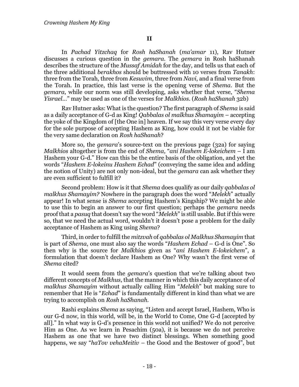In *Pachad Yitzchaq* for *Rosh haShanah* (*ma'amar* 11), Rav Hutner discusses a curious question in the *gemara*. The *gemara* in Rosh haShanah describes the structure of the *Mussaf Amidah* for the day, and tells us that each of the three additional *berakhos* should be buttressed with 10 verses from *Tanakh*: three from the Torah, three from *Kesuvim*, three from *Navi*, and a final verse from the Torah. In practice, this last verse is the opening verse of *Shema*. But the *gemara*, while our norm was still developing, asks whether that verse, "*Shema Yisrael…*" may be used as one of the verses for *Malkhios*. (*Rosh haShanah* 32b)

Rav Hutner asks: What is the question? The first paragraph of *Shema* is said as a daily acceptance of G-d as King! *Qabbalas ol malkhus Shamayim* – accepting the yoke of the Kingdom of [the One in] heaven. If we say this very verse every day for the sole purpose of accepting Hashem as King, how could it not be viable for the very same declaration on *Rosh haShanah*?

More so, the *gemara*'s source-text on the previous page (32a) for saying *Malkhios* altogether is from the end of *Shema*, "*ani Hashem E-lokeichem* – I am Hashem your G-d." How can this be the entire basis of the obligation, and yet the words "*Hashem E-lokeinu Hashem Echad*" (conveying the same idea and adding the notion of Unity) are not only non-ideal, but the *gemara* can ask whether they are even sufficient to fulfill it?

Second problem: How is it that *Shema* does qualify as our daily *qabbalas ol malkhus Shamayim?* Nowhere in the paragraph does the word "*Melekh*" actually appear! In what sense is *Shema* accepting Hashem's Kingship? We might be able to use this to begin an answer to our first question; perhaps the *gemara* needs proof that a *pasuq* that doesn't say the word "*Melekh*" is still usable. But if this were so, that we need the actual word, wouldn't it doesn't pose a problem for the daily acceptance of Hashem as King using *Shema*?

Third, in order to fulfill the *mitzvah* of *qabbalas ol Malkhus Shamayim* that is part of *Shema*, one must also say the words "*Hashem Echad* – G-d is One". So then why is the source for *Malkhios* given as "*ani Hashem E-lokeichem*", a formulation that doesn't declare Hashem as One? Why wasn't the first verse of *Shema* cited?

It would seem from the *gemara*'s question that we're talking about two different concepts of *Malkhus*, that the manner in which this daily acceptance of *ol malkhus Shamayim* without actually calling Him "*Melekh*" but making sure to remember that He is "*Echad*" is fundamentally different in kind than what we are trying to accomplish on *Rosh haShanah*.

Rashi explains *Shema* as saying, "Listen and accept Israel, Hashem, Who is our G-d now, in this world, will be, in the World to Come, One G-d [accepted by all]." In what way is G-d's presence in this world not unified? We do not perceive Him as One. As we learn in Pesachim (50a), it is because we do not perceive Hashem as one that we have two distinct blessings. When something good happens, we say "*haTov vehaMeitiv* – the Good and the Bestower of good", but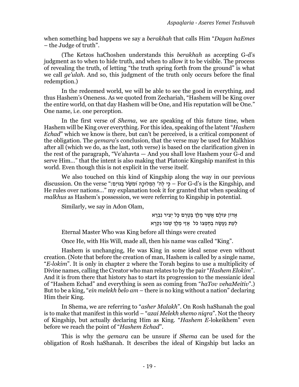when something bad happens we say a *berakhah* that calls Him "*Dayan haEmes* – the Judge of truth".

(The Ketzos haChoshen understands this *berakhah* as accepting G-d's judgment as to when to hide truth, and when to allow it to be visible. The process of revealing the truth, of letting "the truth spring forth from the ground" is what we call *ge'ulah*. And so, this judgment of the truth only occurs before the final redemption.)

In the redeemed world, we will be able to see the good in everything, and thus Hashem's Oneness. As we quoted from Zechariah, "Hashem will be King over the entire world, on that day Hashem will be One, and His reputation will be One." One name, i.e. one perception.

In the first verse of *Shema*, we are speaking of this future time, when Hashem will be King over everything. For this idea, speaking of the latent "*Hashem Echad*" which we know is there, but can't be perceived, is a critical component of the obligation. The *gemara*'s conclusion, that the verse may be used for Malkhios after all (which we do, as the last, 10th verse) is based on the clarification given in the rest of the paragraph, "Ve'ahavta — And you shall love Hashem your G-d and serve Him…" that the intent is also making that Platonic Kingship manifest in this world. Even though this is not explicit in the verse itself.

We also touched on this kind of Kingship along the way in our previous discussion. On the verse "בּגּוֹיִם: "G-G-d's is the Kingship, and – כֵּי להּ הַמְּלוּכָה וּמֹשֵׂל בַּגּוֹיִם He rules over nations…" my explanation took it for granted that when speaking of *malkhus* as Hashem's possession, we were referring to Kingship in potential.

Similarly, we say in Adon Olam,

אֲדוֹן עוֹלָם אֲשֶׁר מַלַךְ בִּטֶרֶם כַּל יְצִיר נִבְרָא לְעֶת נַעֲשָׂה בְחֶפְצוֹ כֹּל אֲזֵי מֶלֶךְ שְׁמוֹ נִקְרַא

Eternal Master Who was King before all things were created

Once He, with His Will, made all, then his name was called "King".

Hashem is unchanging, He was King in some ideal sense even without creation. (Note that before the creation of man, Hashem is called by a single name, "*E-lokim*". It is only in chapter 2 where the Torah begins to use a multiplicity of Divine names, calling the Creator who man relates to by the pair "*Hashem Elokim*". And it is from there that history has to start its progression to the messianic ideal of "Hashem Echad" and everything is seen as coming from "*haTov vehaMeitiv*".) But to be a king, "*ein melekh belo am* – there is no king without a nation" declaring Him their King.

In Shema, we are referring to "*asher Malakh*". On Rosh haShanah the goal is to make that manifest in this world – "*azai Melekh shemo niqra*". Not the theory of Kingship, but actually declaring Him as King. "*Hashem E-*lokeikhem" even before we reach the point of "*Hashem Echad*".

This is why the *gemara* can be unsure if *Shema* can be used for the obligation of Rosh haShanah. It describes the ideal of Kingship but lacks an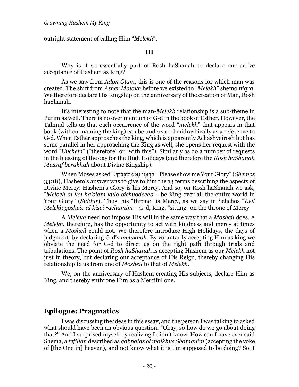outright statement of calling Him "*Melekh*".

### **III**

Why is it so essentially part of Rosh haShanah to declare our active acceptance of Hashem as King?

As we saw from *Adon Olam*, this is one of the reasons for which man was created. The shift from *Asher Malakh* before we existed to *"Melekh*" shemo *niqra.*  We therefore declare His Kingship on the anniversary of the creation of Man, Rosh haShanah.

It's interesting to note that the man-*Melekh* relationship is a sub-theme in Purim as well. There is no over mention of G-d in the book of Esther. However, the Talmud tells us that each occurrence of the word "*melekh*" that appears in that book (without naming the king) can be understood midrashically as a reference to G-d. When Esther approaches the king, which is apparently Achashveirosh but has some parallel in her approaching the King as well, she opens her request with the word "*Uvchein*" ("therefore" or "with this"). Similarly as do a number of requests in the blessing of the day for the High Holidays (and therefore the *Rosh haShanah Mussaf berakhah* about Divine Kingship).

*Shemos*" (Glory Your me show Please – הַ רְּ אֵ ׁ֥נִי נָֹׁ֖א אֶׁ ת־ּכְּבֹדִֶֽׁ ך׃" asked Moses When 33:18), Hashem's answer was to give to him the 13 terms describing the aspects of Divine Mercy. Hashem's Glory is his Mercy. And so, on Rosh haShanah we ask, "*Meloch al kol ha'olam kulo bichvodecha* – be King over all the entire world in Your Glory" (*Siddur*). Thus, his "throne" is Mercy, as we say in Selichos "*Keil Melekh yosheiv al kisei rachamim* – G-d, King, "sitting" on the throne of Mercy.

A *Melekh* need not impose His will in the same way that a *Mosheil* does. A *Melekh*, therefore, has the opportunity to act with kindness and mercy at times when a *Mosheil* could not. We therefore introduce High Holidays, the days of judgment, by declaring G-d's *melukhah*. By voluntarily accepting Him as king we obviate the need for G-d to direct us on the right path through trials and tribulations. The point of *Rosh haShanah* is accepting Hashem as our *Melekh* not just in theory, but declaring our acceptance of His Reign, thereby changing His relationship to us from one of *Mosheil* to that of *Melekh*.

We, on the anniversary of Hashem creating His subjects, declare Him as King, and thereby enthrone Him as a Merciful one.

### **Epilogue: Pragmatics**

I was discussing the ideas in this essay, and the person I was talking to asked what should have been an obvious question. "Okay, so how do we go about doing that?" And I surprised myself by realizing I didn't know. How can I have ever said Shema, a *tefillah* described as *qabbalas ol malkhus Shamayim* (accepting the yoke of [the One in] heaven), and not know what it is I'm supposed to be doing? So, I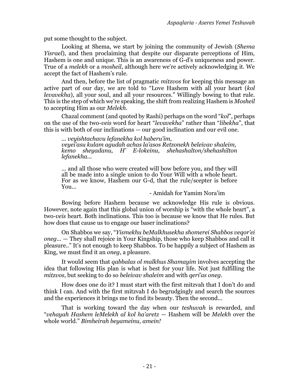put some thought to the subject.

Looking at Shema, we start by joining the community of Jewish (*Shema Yisrael*), and then proclaiming that despite our disparate perceptions of Him, Hashem is one and unique. This is an awareness of G-d's uniqueness and power. True of a *melekh* or a *mosheil*, although here we're actively acknowledging it. We accept the fact of Hashem's rule.

And then, before the list of pragmatic *mitzvos* for keeping this message an active part of our day, we are told to "Love Hashem with all your heart (*kol levavekha*), all your soul, and all your resources." Willingly bowing to that rule. This is the step of which we're speaking, the shift from realizing Hashem is *Mosheil* to accepting Him as our *Melekh.*

Chazal comment (and quoted by Rashi) perhaps on the word "*kol*", perhaps on the use of the two-*veis* word for heart "*levavekha*" rather than "*libekha*", that this is with both of our inclinations — our good inclination and our evil one.

*... veyishtachavu lefanekha kol haberu'im, veyei'asu kulam agudah achas la'asos Retzonekh beleivav shaleim, kemo sheyadanu, H' E-lokeinu, shehashalton/shehashilton lefanekha...*

... and all those who were created will bow before you, and they will all be made into a single union to do Your Will with a whole heart. For as we know, Hashem our G-d, that the rule/scepter is before You...

- Amidah for Yamim Nora'im

Bowing before Hashem because we acknowledge His rule is obvious. However, note again that this global union of worship is "with the whole heart", a two-*veis* heart. Both inclinations. This too is because we know that He rules. But how does that cause us to engage our baser inclinations?

On Shabbos we say, "*Yismekhu beMalkhusekha shomerei Shabbos veqor'ei oneg...* — They shall rejoice in Your Kingship, those who keep Shabbos and call it pleasure.." It's not enough to keep Shabbos. To be happily a subject of Hashem as King, we must find it an *oneg*, a pleasure.

It would seem that *qabbalas ol malkhus Shamayim* involves accepting the idea that following His plan is what is best for your life. Not just fulfilling the *mitzvos*, but seeking to do so *beleivav shaleim* and with *qeri'as oneg*.

How does one do it? I must start with the first mitzvah that I don't do and think I can. And with the first mitzvah I do begrudgingly and search the sources and the experiences it brings me to find its beauty. Then the second...

That is working toward the day when our *teshuvah* is rewarded, and "*vehayah Hashem leMelekh al kol ha'aretz* — Hashem will be *Melekh* over the whole world." *Bimheirah beyameinu, amein!*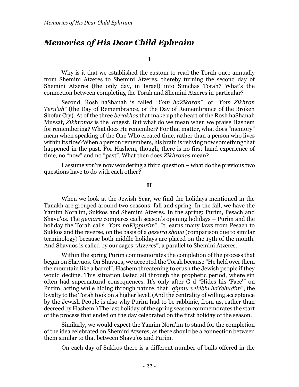## *Memories of His Dear Child Ephraim*

**I**

Why is it that we established the custom to read the Torah once annually from Shemini Atzeres to Shemini Atzeres, thereby turning the second day of Shemini Atzeres (the only day, in Israel) into Simchas Torah? What's the connection between completing the Torah and Shemini Atzeres in particular?

Second, Rosh haShanah is called "*Yom haZikaron*", or "*Yom Zikhron Teru'ah*" (the Day of Remembrance, or the Day of Remembrance of the Broken Shofar Cry). At of the three *berakhos* that make up the heart of the Rosh haShanah Mussaf, *Zikhronos* is the longest. But what do we mean when we praise Hashem for remembering? What does He remember? For that matter, what does "memory" mean when speaking of the One Who created time, rather than a person who lives within its flow?When a person remembers, his brain is reliving now something that happened in the past. For Hashem, though, there is no first-hand experience of time, no "now" and no "past". What then does *Zikhronos* mean?

I assume you're now wondering a third question – what do the previous two questions have to do with each other?

**II**

When we look at the Jewish Year, we find the holidays mentioned in the Tanakh are grouped around two seasons: fall and spring. In the fall, we have the Yamim Nora'im, Sukkos and Shemini Atzeres. In the spring: Purim, Pesach and Shavu'os. The *gemara* compares each season's opening holidays – Purim and the holiday the Torah calls "*Yom haKippurim*". It learns many laws from Pesach to Sukkos and the reverse, on the basis of a *gezeira shava* (comparison due to similar terminology) because both middle holidays are placed on the 15th of the month. And Shavuos is called by our sages "*Atzeres*", a parallel to Shemini Atzeres.

Within the spring Purim commemorates the completion of the process that began on Shavuos. On Shavuos, we accepted the Torah because "He held over them the mountain like a barrel", Hashem threatening to crush the Jewish people if they would decline. This situation lasted all through the prophetic period, where sin often had supernatural consequences. It's only after G-d "Hides his 'Face'" on Purim, acting while hiding through nature, that "*qiymu vekiblu haYehudim*", the loyalty to the Torah took on a higher level. (And the centrality of willing acceptance by the Jewish People is also why Purim had to be rabbinic, from us, rather than decreed by Hashem.) The last holiday of the spring season commemorates the start of the process that ended on the day celebrated on the first holiday of the season.

Similarly, we would expect the Yamim Nora'im to stand for the completion of the idea celebrated on Shemini Atzeres, as there should be a connection between them similar to that between Shavu'os and Purim.

On each day of Sukkos there is a different number of bulls offered in the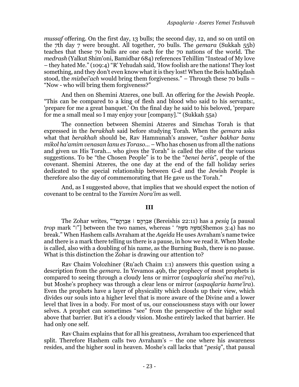*mussaf* offering. On the first day, 13 bulls; the second day, 12, and so on until on the 7th day 7 were brought. All together, 70 bulls. The *gemara* (Sukkah 55b) teaches that these 70 bulls are one each for the 70 nations of the world. The *medrash* (Yalkut Shim'oni, Bamidbar 684) references Tehillim "Instead of My love – they hated Me." (109:4) "R' Yehudah said, 'How foolish are the nations! They lost something, and they don't even know what it is they lost! When the Beis haMiqdash stood, the *mizbei'ach* would bring them forgiveness." – Through these 70 bulls – "Now - who will bring them forgiveness?"

And then on Shemini Atzeres, one bull. An offering for the Jewish People. "This can be compared to a king of flesh and blood who said to his servants:, 'prepare for me a great banquet.' On the final day he said to his beloved, 'prepare for me a small meal so I may enjoy your [company].'" (Sukkah 55a)

The connection between Shemini Atzeres and Simchas Torah is that expressed in the *berakhah* said before studying Torah. When the *gemara* asks what that *berakhah* should be, Rav Hamnunah's answer, "*asher bakhar banu mikol ha'amim venasan lanu es Toraso...* – Who has chosen us from all the nations and given us His Torah... who gives the Torah" is called the elite of the various suggestions. To be "the Chosen People" is to be the "*benei beris*", people of the covenant. Shemini Atzeres, the one day at the end of the fall holiday series dedicated to the special relationship between G-d and the Jewish People is therefore also the day of commemorating that He gave us the Torah."

And, as I suggested above, that implies that we should expect the notion of covenant to be central to the *Yamim Nora'im* as well.

#### **III**

 pausal a[*pesiq* a has) 22:11 Bereishis (ַאבְּ רָ הָ ׂ֣ם ׀ ַאבְּ רָ הָ ָּ֑ם''" ,writes Zohar The *trop* mark "׀ ["between the two names, whereas ' 'הֹׁ֖ ֶׁשֹׁמ הׁ֥ ֶׁשֹׁמ)Shemos 3:4) has no break." When Hashem calls Avraham at the *Aqeida* He uses Avraham's name twice and there is a mark there telling us there is a pause, in how we read it. When Moshe is called, also with a doubling of his name, as the Burning Bush, there is no pause. What is this distinction the Zohar is drawing our attention to?

Rav Chaim Volozhiner (Ru'ach Chaim 1:1) answers this question using a description from the *gemara*. In Yevamos 49b, the prophecy of most prophets is compared to seeing through a cloudy lens or mirror (*aspaqlaria shei'na mei'ra*), but Moshe's prophecy was through a clear lens or mirror (*aspaqlaria hame'ira*). Even the prophets have a layer of physicality which clouds up their view, which divides our souls into a higher level that is more aware of the Divine and a lower level that lives in a body. For most of us, our consciousness stays with our lower selves. A prophet can sometimes "see" from the perspective of the higher soul above that barrier. But it's a cloudy vision. Moshe entirely lacked that barrier. He had only one self.

Rav Chaim explains that for all his greatness, Avraham too experienced that split. Therefore Hashem calls two Avraham's – the one where his awareness resides, and the higher soul in heaven. Moshe's call lacks that "*pesiq*", that pausal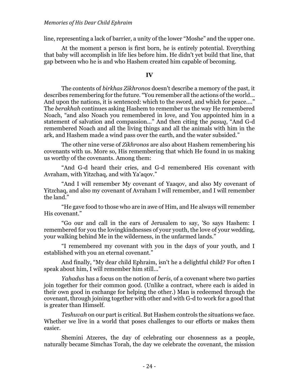line, representing a lack of barrier, a unity of the lower "Moshe" and the upper one.

At the moment a person is first born, he is entirely potential. Everything that baby will accomplish in life lies before him. He didn't yet build that line, that gap between who he is and who Hashem created him capable of becoming.

### **IV**

The contents of *birkhas Zikhronos* doesn't describe a memory of the past, it describes remembering for the future. "You remember all the actions of the world... And upon the nations, it is sentenced: which to the sword, and which for peace...." The *berakhah* continues asking Hashem to remember us the way He remembered Noach, "and also Noach you remembered in love, and You appointed him in a statement of salvation and compassion..." And then citing the *pasuq*, "And G-d remembered Noach and all the living things and all the animals with him in the ark, and Hashem made a wind pass over the earth, and the water subsided."

The other nine verse of *Zikhronos* are also about Hashem remembering his covenants with us. More so, His remembering that which He found in us making us worthy of the covenants. Among them:

"And G-d heard their cries, and G-d remembered His covenant with Avraham, with Yitzchaq, and with Ya'aqov."

"And I will remember My covenant of Yaaqov, and also My covenant of Yitzchaq, and also my covenant of Avraham I will remember, and I will remember the land."

"He gave food to those who are in awe of Him, and He always will remember His covenant."

"Go our and call in the ears of Jerusalem to say, 'So says Hashem: I remembered for you the lovingkindnesses of your youth, the love of your wedding, your walking behind Me in the wilderness, in the unfarmed lands."

"I remembered my covenant with you in the days of your youth, and I established with you an eternal covenant."

And finally, "My dear child Ephraim, isn't he a delightful child? For often I speak about him, I will remember him still..."

*Yahadus* has a focus on the notion of *beris*, of a covenant where two parties join together for their common good. (Unlike a contract, where each is aided in their own good in exchange for helping the other.) Man is redeemed through the covenant, through joining together with other and with G-d to work for a good that is greater than Himself.

*Teshuvah* on our part is critical. But Hashem controls the situations we face. Whether we live in a world that poses challenges to our efforts or makes them easier.

Shemini Atzeres, the day of celebrating our chosenness as a people, naturally became Simchas Torah, the day we celebrate the covenant, the mission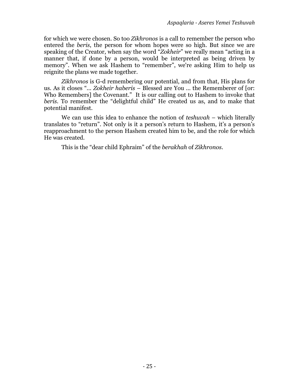for which we were chosen. So too *Zikhronos* is a call to remember the person who entered the *beris*, the person for whom hopes were so high. But since we are speaking of the Creator, when say the word "*Zokheir*" we really mean "acting in a manner that, if done by a person, would be interpreted as being driven by memory". When we ask Hashem to "remember", we're asking Him to help us reignite the plans we made together.

*Zikhronos* is G-d remembering our potential, and from that, His plans for us. As it closes "*... Zokheir haberis* – Blessed are You ... the Rememberer of [or: Who Remembers] the Covenant." It is our calling out to Hashem to invoke that *beris*. To remember the "delightful child" He created us as, and to make that potential manifest.

We can use this idea to enhance the notion of *teshuvah* – which literally translates to "return". Not only is it a person's return to Hashem, it's a person's reapproachment to the person Hashem created him to be, and the role for which He was created.

This is the "dear child Ephraim" of the *berakhah* of *Zikhronos*.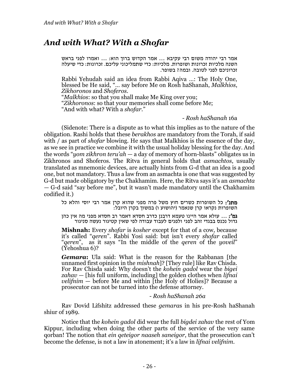# *And with What? With a Shofar*

אמר רבי יהודה משום רבי עקיבא ... אמר הקדוש ברוך הוא: ... ואמרו לפני בראש השנה מלכיות זכרונות ושופרות. מלכיות: כדי שתמליכוני עליכם. זכרונות: כדי שיעלה זכרוניכם לפני לטובה. ובמה ? בשופר.

Rabbi Yehudah said an idea from Rabbi Aqiva …: The Holy One, blessed be He said, "… say before Me on Rosh haShanah, *Malkhios*, *Zikhoronos* and *Shoferos*.

"*Malkhios*: so that you shall make Me King over you; "*Zikhoronos*: so that your memories shall come before Me; "And with what? With a *shofar*."

*- Rosh haShanah* 16a

(Sidenote: There is a dispute as to what this implies as to the nature of the obligation. Rashi holds that these *berakhos* are mandatory from the Torah, if said with / as part of *shofar* blowing. He says that Malkhios is the essence of the day, as we see in practice we combine it with the usual holiday blessing for the day. And the words "*yom zikhron teru'ah —* a day of memory of horn-blasts" obligates us in Zikhronos and Shoferos. The Ritva in general holds that *asmachtos*, usually translated as mnemonic devices, are actually hints from G-d that an idea is a good one, but not mandatory. Thus a law from an asmachta is one that was suggested by G-d but made obligatory by the Chakhamim. Here, the Ritva says it's an *asmachta —* G-d said "say before me", but it wasn't made mandatory until the Chakhamim codified it.)

מתנ': כל השופרות כשרים חוץ משל פרה מפני שהוא קרן אמר רבי יוסי והלא כל השופרות נקראו קרן שנאמר )יהושוע ו ( במשוך בקרן היובל:

גמ ': ... עולא אמר היינו טעמא דרבנן כדרב חסדא דאמר רב חסדא מפני מה אין כהן גדול נכנס בבגדי זהב לפני ולפנים לעבוד עבודה לפי שאין קטיגור נעשה סניגור

**Mishnah:** Every *shofar* is *kosher* except for that of a cow, because it's called "*qeren*". Rabbi Yosi said: but isn't every *shofar* called "*qeren*", as it says "In the middle of the *qeren* of the *yoveil*"  $(Yehoshua 6)$ ?

*Gemara***:** Ula said: What is the reason for the Rabbanan [the unnamed first opinion in the *mishnah*]? [They rule] like Rav Chisda. For Rav Chisda said: Why doesn't the *kohein gadol* wear the *bigei zahav —* [his full uniform, including] the golden clothes when *lifnai velifnim* — before Me and within [the Holy of Holies]? Because a prosecutor can not be turned into the defense attorney.

*- Rosh haShanah 26a*

Rav Dovid Lifshitz addressed these *gemara*s in his pre-Rosh haShanah shiur of 1989.

Notice that the *kohein gadol* did wear the full *bigdei zahav* the rest of Yom Kippur, including when doing the other parts of the service of the very same qorban! The notion that *ein qeteigor naaseh saneigor*, that the prosecution can't become the defense, is not a law in atonement; it's a law in *lifnai velifnim*.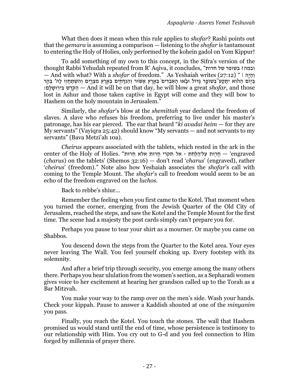What then does it mean when this rule applies to *shofar*? Rashi points out that the *gemara* is assuming a comparison — listening to the *shofar* is tantamount to entering the Holy of Holies, only performed by the kohein gadol on Yom Kippur!

To add something of my own to this concept, in the Sifra's version of the thought Rabbi Yehudah repeated from R' Aqiva, it concludes, " חרות של בשופר? ובמה — And with what? With a *shofar* of freedom." As Yeshaiah writes (27:12) " ׀ הָׂ֣י ָה ְּו ַבַּיִּוֹם הַהֹוּא יִתֲקַע בְּשׁוֹפָר גָּדוֹל וּבָאוּ הַאִבְדִים בְּאֱרֵץ אַשׂוּר וְהַנִּדְחְיִם בְּאֶרֵץ מִצְרֵיִם וְהִשְׁתַּחֲווּ לָה' בְּהַר ם׃ִִָֽל ָשׁוּ ִֽיר ִב שׁ ֶׁדֹֹׁ֖ק ַה — And it will be on that day, he will blow a great *shofar*, and those lost in Ashur and those taken captive in Egypt will come and they will bow to Hashem on the holy mountain in Jerusalem."

Similarly, the *shofar*'s blow at the *shemittah* year declared the freedom of slaves. A slave who refuses his freedom, preferring to live under his master's patronage, has his ear pierced. The ear that heard "*ki avadai heim* — for they are My servants" (Vayiqra 25:42) should know "My servants — and not servants to my servants" (Bava Metzi'ah 10a).

*Cheirus* appears associated with the tablets, which rested in the ark in the engraved – חֲרִוּת עַל־הַלַּחִׂת - אל תקרי חַרוּת אלא חֵרוּת". engraved – חַרוּת עַל־הַלַּחִׂת - אל תקרי (*charus*) on the tablets' (Shemos 32:16) — don't read '*charus*' (engraved), rather '*cheirus*' (freedom)." Note also how Yeshaiah associates the *shofar*'s call with coming to the Temple Mount. The *shofar*'s call to freedom would seem to be an echo of the freedom engraved on the *luchos*.

Back to rebbe's shiur…

Remember the feeling when you first came to the Kotel. That moment when you turned the corner, emerging from the Jewish Quarter of the Old City of Jerusalem, reached the steps, and saw the Kotel and the Temple Mount for the first time. The scene had a majesty the post cards simply can't prepare you for.

Perhaps you pause to tear your shirt as a mourner. Or maybe you came on Shabbos.

You descend down the steps from the Quarter to the Kotel area. Your eyes never leaving The Wall. You feel yourself choking up. Every footstep with its solemnity.

And after a brief trip through security, you emerge among the many others there. Perhaps you hear ululation from the women's section, as a Sepharadi women gives voice to her excitement at hearing her grandson called up to the Torah as a Bar Mitzvah.

You make your way to the ramp over on the men's side. Wash your hands. Check your kippah. Pause to answer a Kaddish shouted at one of the *minyanim* you pass.

Finally, you reach the Kotel. You touch the stones. The wall that Hashem promised us would stand until the end of time, whose persistence is testimony to our relationship with Him. You cry out to G-d and you feel connection to Him forged by millennia of prayer there.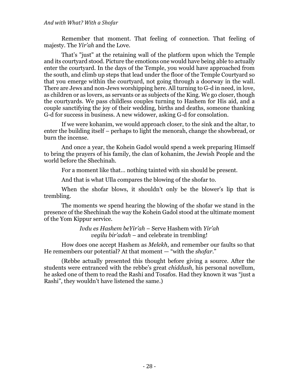#### *And with What? With a Shofar*

Remember that moment. That feeling of connection. That feeling of majesty. The *Yir'ah* and the Love.

That's "just" at the retaining wall of the platform upon which the Temple and its courtyard stood. Picture the emotions one would have being able to actually enter the courtyard. In the days of the Temple, you would have approached from the south, and climb up steps that lead under the floor of the Temple Courtyard so that you emerge within the courtyard, not going through a doorway in the wall. There are Jews and non-Jews worshipping here. All turning to G-d in need, in love, as children or as lovers, as servants or as subjects of the King. We go closer, though the courtyards. We pass childless couples turning to Hashem for His aid, and a couple sanctifying the joy of their wedding, births and deaths, someone thanking G-d for success in business. A new widower, asking G-d for consolation.

If we were kohanim, we would approach closer, to the sink and the altar, to enter the building itself – perhaps to light the menorah, change the showbread, or burn the incense.

And once a year, the Kohein Gadol would spend a week preparing Himself to bring the prayers of his family, the clan of kohanim, the Jewish People and the world before the Shechinah.

For a moment like that… nothing tainted with sin should be present.

And that is what Ulla compares the blowing of the shofar to.

When the shofar blows, it shouldn't only be the blower's lip that is trembling.

The moments we spend hearing the blowing of the shofar we stand in the presence of the Shechinah the way the Kohein Gadol stood at the ultimate moment of the Yom Kippur service.

> *Ivdu es Hashem beYir'ah* – Serve Hashem with *Yir'ah vegilu bir'adah* – and celebrate in trembling!

How does one accept Hashem as *Melekh*, and remember our faults so that He remembers our potential? At that moment — "with the *shofar*."

(Rebbe actually presented this thought before giving a source. After the students were entranced with the rebbe's great *chiddush*, his personal novellum, he asked one of them to read the Rashi and Tosafos. Had they known it was "just a Rashi", they wouldn't have listened the same.)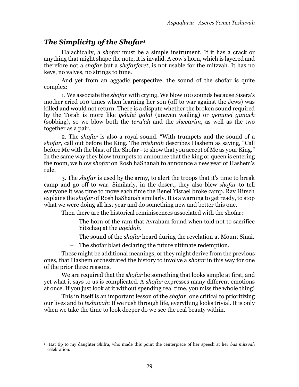### *The Simplicity of the Shofar<sup>1</sup>*

Halachically, a *shofar* must be a simple instrument. If it has a crack or anything that might shape the note, it is invalid. A cow's horn, which is layered and therefore not a *shofar* but a *shefarferet*, is not usable for the mitzvah. It has no keys, no valves, no strings to tune.

And yet from an aggadic perspective, the sound of the shofar is quite complex:

1. We associate the *shofar* with crying. We blow 100 sounds because Sisera's mother cried 100 times when learning her son (off to war against the Jews) was killed and would not return. There is a dispute whether the broken sound required by the Torah is more like *yelulei yalal* (uneven wailing) or *genunei ganach* (sobbing), so we blow both the *teru'ah* and the *shevarim*, as well as the two together as a pair.

2. The *shofar* is also a royal sound. "With trumpets and the sound of a *shofar*, call out before the King. The *mishnah* describes Hashem as saying, "Call before Me with the blast of the Shofar - to show that you accept of Me as your King." In the same way they blow trumpets to announce that the king or queen is entering the room, we blow *shofar* on Rosh haShanah to announce a new year of Hashem's rule.

3. The *shofar* is used by the army, to alert the troops that it's time to break camp and go off to war. Similarly, in the desert, they also blew *shofar* to tell everyone it was time to move each time the Benei Yisrael broke camp. Rav Hirsch explains the *shofar* of Rosh haShanah similarly. It is a warning to get ready, to stop what we were doing all last year and do something new and better this one.

Then there are the historical reminiscences associated with the shofar:

- − The horn of the ram that Avraham found when told not to sacrifice Yitzchaq at the *aqeidah*.
- − The sound of the *shofar* heard during the revelation at Mount Sinai.
- The shofar blast declaring the future ultimate redemption.

These might be additional meanings, or they might derive from the previous ones, that Hashem orchestrated the history to involve a *shofar* in this way for one of the prior three reasons.

We are required that the *shofar* be something that looks simple at first, and yet what it says to us is complicated. A *shofar* expresses many different emotions at once. If you just look at it without spending real time, you miss the whole thing!

This in itself is an important lesson of the *shofar*, one critical to prioritizing our lives and to *teshuvah*: If we rush through life, everything looks trivial. It is only when we take the time to look deeper do we see the real beauty within.

<sup>1</sup> Hat tip to my daughter Shifra, who made this point the centerpiece of her speech at her *bas mitzvah* celebration.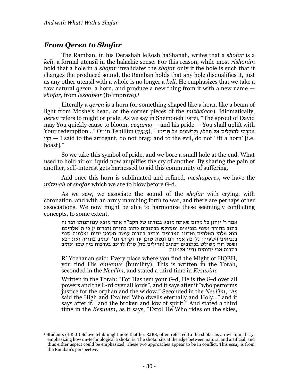### *From Qeren to Shofar*

The Ramban, in his Derashah leRosh haShanah, writes that a *shofar* is a *keli*, a formal utensil in the halachic sense. For this reason, while most *rishonim* hold that a hole in a *shofar* invalidates the *shofar* only if the hole is such that it changes the produced sound, the Ramban holds that any hole disqualifies it, just as any other utensil with a whole is no longer a *keli*. He emphasizes that we take a raw natural *qeren*, a horn*,* and produce a new thing from it with a new name *shofar*, from *leshapeir* (to improve).<sup>1</sup>

Literally a *qeren* is a horn (or something shaped like a horn, like a beam of light from Moshe's head, or the corner pieces of the *mizbeiach*). Idiomatically, *qeren* refers to might or pride. As we say in Shemoneh Esrei, "The sprout of David may You quickly cause to bloom, *veqarno* — and his pride — You shall uplift with Your redemption..." Or in Tehillim (75:5), " אֲמַרְתִּי לָהוֹלְלִים אֵל תִּהֹלּוּ, וְלַרְשָׁעִים אֵל תִּרִימוּ קְרֵן — I said to the arrogant, do not brag; and to the evil, do not 'lift a horn' [i.e. boast]."

So we take this symbol of pride, and we bore a small hole at the end. What used to hold air or liquid now amplifies the cry of another. By sharing the pain of another, self-interest gets harnessed to aid this community of suffering.

And once this horn is sublimated and refined, *meshaperes*, we have the *mitzvah* of *shofar* which we are to blow before G-d.

As we saw, we associate the sound of the *shofar* with crying, with coronation, and with an army marching forth to war, and there are perhaps other associations. We now might be able to harmonize these seemingly conflicting concepts, to some extent.

אמר ר' יוחנן כל מקום שאתה מוצא גבורתו של הקב"ה אתה מוצא ענוותנותו דבר זה כתוב בתורה ושנוי בנביאים ומשולש בכתובים כתוב בתורה (דברים י) כי ה 'אלהיכם הוא אלהי האלהים ואדוני האדונים וכתיב בתריה עושה משפט יתום ואלמנה שנוי בנביאים (ישעיהו נז) כה אמר רם ונשא שוכן עד וקדוש וגו' וכתיב בתריה ואת דכא ושפל רוח משולש בכתובים דכתיב )תהילים סח( סולו לרוכב בערבות ביה שמו וכתיב בתריה אבי יתומים ודיין אלמנות

R' Yochanan said: Every place where you find the Might of HQBH, you find His *anvanus* (humility). This is written in the Torah, seconded in the *Nevi'im*, and stated a third time in *Kesuvim*.

Written in the Torah: "For Hashem your G-d, He is the G-d over all powers and the L-rd over all lords", and it says after it "who performs justice for the orphan and the widow." Seconded in the *Nevi'im*, "As said the High and Exalted Who dwells eternally and Holy…" and it says after it, "and the broken and low of spirit." And stated a third time in the *Kesuvim*, as it says, "Extol He Who rides on the skies,

<sup>1</sup> Students of R JB Soloveitchik might note that he, RJBS, often referred to the shofar as a raw animal cry, emphasizing how un-technological a shofar is. The shofar sits at the edge between natural and artificial, and thus either aspect could be emphasized. These two approaches appear to be in conflict. This essay is from the Ramban's perspective.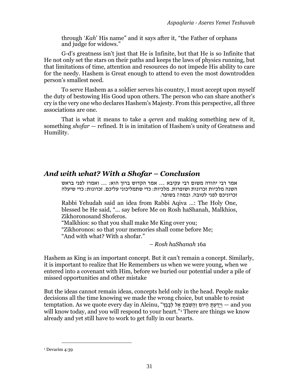through '*Kah*' His name" and it says after it, "the Father of orphans and judge for widows."

G-d's greatness isn't just that He is Infinite, but that He is so Infinite that He not only set the stars on their paths and keeps the laws of physics running, but that limitations of time, attention and resources do not impede His ability to care for the needy. Hashem is Great enough to attend to even the most downtrodden person's smallest need.

To serve Hashem as a soldier serves his country, I must accept upon myself the duty of bestowing His Good upon others. The person who can share another's cry is the very one who declares Hashem's Majesty. From this perspective, all three associations are one.

That is what it means to take a *qeren* and making something new of it, something *shofar —* refined. It is in imitation of Hashem's unity of Greatness and Humility.

## *And with what? With a Shofar – Conclusion*

אמר רבי יהודה משום רבי עקיבא ... אמר הקדוש ברוך הוא: ... ואמרו לפני בראש השנה מלכיות זכרונות ושופרות. מלכיות: כדי שתמליכוני עליכם. זכרונות: כדי שיעלה זכרוניכם לפני לטובה. ובמה? בשופר.

Rabbi Yehudah said an idea from Rabbi Aqiva …: The Holy One, blessed be He said, "… say before Me on Rosh haShanah, Malkhios, Zikhoronosand Shoferos.

"Malkhios: so that you shall make Me King over you; "Zikhoronos: so that your memories shall come before Me; "And with what? With a shofar."

*– Rosh haShanah* 16a

Hashem as King is an important concept. But it can't remain a concept. Similarly, it is important to realize that He Remembers us when we were young, when we entered into a covenant with Him, before we buried our potential under a pile of missed opportunities and other mistake

But the ideas cannot remain ideas, concepts held only in the head. People make decisions all the time knowing we made the wrong choice, but unable to resist temptation. As we quote every day in Aleinu, "יִדַעְתָּ הַיּוֹם וַהֲשֶׁבֹתָ אֶל לְבָבֶךּ", and you will know today, and you will respond to your heart."<sup>1</sup> There are things we know already and yet still have to work to get fully in our hearts.

<sup>&</sup>lt;sup>1</sup> Devarim 4:39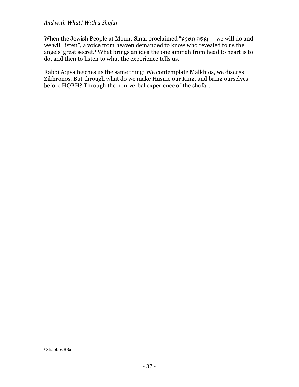### *And with What? With a Shofar*

When the Jewish People at Mount Sinai proclaimed "ע ָמ ְּשִׁנ ְּו ה ֶׁשֲעַנ — we will do and we will listen", a voice from heaven demanded to know who revealed to us the angels' great secret.<sup>1</sup> What brings an idea the one ammah from head to heart is to do, and then to listen to what the experience tells us.

Rabbi Aqiva teaches us the same thing: We contemplate Malkhios, we discuss Zikhronos. But through what do we make Hasme our King, and bring ourselves before HQBH? Through the non-verbal experience of the shofar.

 $^{\rm 1}$  Shabbos 88a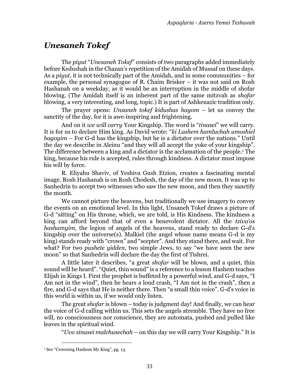# *Unesaneh Tokef*

The *piyut* "*Unesaneh Tokef*" consists of two paragraphs added immediately before Kedushah in the Chazan's repetition of the Amidah of Mussaf on these days. As a *piyut*, it is not technically part of the Amidah, and in some communities – for example, the personal synagogue of R. Chaim Brisker – it was not said on Rosh Hashanah on a weekday, as it would be an interruption in the middle of shofar blowing. (The Amidah itself is an inherent part of the same mitzvah as *shofar* blowing, a very interesting, and long, topic.) It is part of Ashkenazic tradition only.

The prayer opens: *Unsaneh tokef kidushas hayom* – let us convey the sanctity of the day, for it is awe-inspiring and frightening.

And on it *we will carry* Your Kingship. The word is "*tinasei*" we will carry. It is for us to declare Him king. As David wrote: "*ki Lashem hamluchah umoshiel bagoyim* – For G-d has the kingship, but he is a dictator over the nations." Until the day we describe in Aleinu "and they will all accept the yoke of your kingship". The difference between a king and a dictator is the acclamation of the people.<sup>1</sup> The king, because his rule is accepted, rules through kindness. A dictator must impose his will by force.

R. Eliyahu Shaviv, of Yeshiva Gush Etzion, creates a fascinating mental image. Rosh Hashanah is on Rosh Chodesh, the day of the new moon. It was up to Sanhedrin to accept two witnesses who saw the new moon, and then they sanctify the month.

We cannot picture the heavens, but traditionally we use imagery to convey the events on an emotional level. In this light, Unsaneh Tokef draws a picture of G-d "sitting" on His throne, which, we are told, is His Kindness. The kindness a king can afford beyond that of even a benevolent dictator. All the *tziva'os hashamyim*, the legion of angels of the heavens, stand ready to declare G-d's kingship over the universe(s). Malkiel (the angel whose name means G-d is my king) stands ready with "crown" and "scepter". And they stand there, and wait. For what? For two *pushete yidden*, two simple Jews, to say "we have seen the new moon" so that Sanhedrin will declare the day the first of Tishrei.

A little later it describes, "a great *shofar* will be blown, and a quiet, thin sound will be heard". "Quiet, thin sound" is a reference to a lesson Hashem teaches Elijah in Kings I. First the prophet is buffeted by a powerful wind, and G-d says, "I Am not in the wind", then he hears a loud crash, "I Am not in the crash", then a fire, and G-d says that He is neither there. Then "a small thin voice". G-d's voice in this world is within us, if we would only listen.

The great *shofar* is blown – today is judgment day! And finally, we can hear the voice of G-d calling within us. This sets the angels atremble. They have no free will, no consciousness nor conscience, they are automata, pushed and pulled like leaves in the spiritual wind.

"*Uvo sinasei malchusechah* – on this day we will carry Your Kingship." It is

<sup>&</sup>lt;sup>1</sup> See "[Crowning Hashem My King](#page-18-0)", pg. [13.](#page-18-0)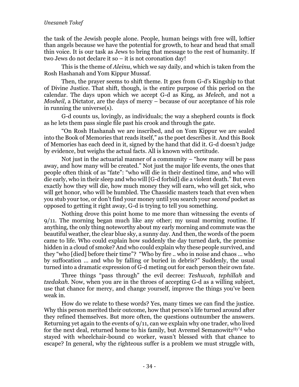### *Unesaneh Tokef*

the task of the Jewish people alone. People, human beings with free will, loftier than angels because we have the potential for growth, to hear and head that small thin voice. It is our task as Jews to bring that message to the rest of humanity. If two Jews do not declare it so – it is not coronation day!

This is the theme of *Aleinu*, which we say daily, and which is taken from the Rosh Hashanah and Yom Kippur Mussaf.

Then, the prayer seems to shift theme. It goes from G-d's Kingship to that of Divine Justice. That shift, though, is the entire purpose of this period on the calendar. The days upon which we accept G-d as King, as *Melech*, and not a *Mosheil*, a Dictator, are the days of mercy – because of our acceptance of his role in running the universe(s).

G-d counts us, lovingly, as individuals; the way a shepherd counts is flock as he lets them pass single file past his crook and through the gate.

"On Rosh Hashanah we are inscribed, and on Yom Kippur we are sealed into the Book of Memories that reads itself," as the poet describes it. And this Book of Memories has each deed in it, signed by the hand that did it. G-d doesn't judge by evidence, but weighs the actual facts. All is known with certitude.

Not just in the actuarial manner of a community  $-$  "how many will be pass away, and how many will be created." Not just the major life events, the ones that people often think of as "fate": "who will die in their destined time, and who will die early, who in their sleep and who will [G-d forbid] die a violent death." But even exactly how they will die, how much money they will earn, who will get sick, who will get honor, who will be humbled. The Chassidic masters teach that even when you stub your toe, or don't find your money until you search your *second* pocket as opposed to getting it right away, G-d is trying to tell you something.

Nothing drove this point home to me more than witnessing the events of 9/11. The morning began much like any other; my usual morning routine. If anything, the only thing noteworthy about my early morning and commute was the beautiful weather, the clear blue sky, a sunny day. And then, the words of the poem came to life. Who could explain how suddenly the day turned dark, the promise hidden in a cloud of smoke? And who could explain why these people survived, and they "who [died] before their time"? "Who by fire .. who in noise and chaos … who by suffocation … and who by falling or buried in debris?" Suddenly, the usual turned into a dramatic expression of G-d meting out for each person their own fate.

Three things "pass through" the evil decree: *Teshuvah*, *tephillah* and *tzedakah*. Now, when you are in the throes of accepting G-d as a willing subject, use that chance for mercy, and change yourself, improve the things you've been weak in.

How do we relate to these words? Yes, many times we can find the justice. Why this person merited their outcome, how that person's life turned around after they refined themselves. But more often, the questions outnumber the answers. Returning yet again to the events of 9/11, can we explain why one trader, who lived for the next deal, returned home to his family, but Avremel Semanowitz<sup>Hy"d</sup> who stayed with wheelchair-bound co worker, wasn't blessed with that chance to escape? In general, why the righteous suffer is a problem we must struggle with,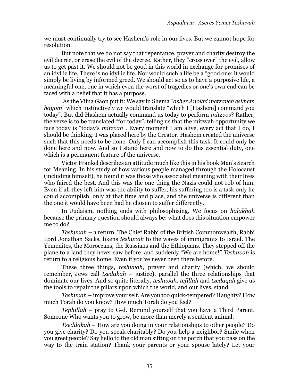we must continually try to see Hashem's role in our lives. But we cannot hope for resolution.

But note that we do not say that repentance, prayer and charity destroy the evil decree, or erase the evil of the decree. Rather, they "cross over" the evil, allow us to get past it. We should not be good in this world in exchange for promises of an idyllic life. There is no idyllic life. Nor would such a life be a "good one; it would simply be living by informed greed. We should act so as to have a purposive life, a meaningful one, one in which even the worst of tragedies or one's own end can be faced with a belief that it has a purpose.

As the Vilna Gaon put it: We say in Shema "*asher Anokhi metzaveh eskhem hayom*" which instinctively we would translate "which I [Hashem] command you today". But did Hashem actually command us today to perform *mitzvos*? Rather, the verse is to be translated "for today", telling us that the mitzvah opportunity we face today is "today's *mitzvah*". Every moment I am alive, every act that I do, I should be thinking: I was placed here by the Creator. Hashem created the universe such that this needs to be done. Only I can accomplish this task. It could only be done here and now. And so I stand here and now to do this essential duty, one which is a permanent feature of the universe.

Victor Frankel describes an attitude much like this in his book Man's Search for Meaning. In his study of how various people managed through the Holocaust (including himself), he found it was those who associated meaning with their lives who faired the best. And this was the one thing the Nazis could not rob of him. Even if all they left him was the ability to suffer, his suffering too is a task only he could accomplish, only at that time and place, and the universe is different than the one it would have been had he chosen to suffer differently.

In Judaism, nothing ends with philosophizing. We focus on *halakhah* because the primary question should always be: what does this situation empower me to do?

*Teshuvah* – a return. The Chief Rabbi of the British Commonwealth, Rabbi Lord Jonathan Sacks, likens *teshuvah* to the waves of immigrants to Israel. The Yemenites, the Moroccans, the Russians and the Ethiopians. They stepped off the plane to a land they never saw before, and suddenly "We are home!" *Teshuvah* is return to a religious home. Even if you've never been there before.

These three things, *teshuvah*, prayer and charity (which, we should remember, Jews call *tzedakah* – justice), parallel the three relationships that dominate our lives. And so quite literally, *teshuvah, tefillah* and *tzedaqah* give us the tools to repair the pillars upon which the world, and our lives, stand.

*Teshuvah* – improve your self. Are you too quick-tempered? Haughty? How much Torah do you know? How much Torah do you feel?

*Tephillah* – pray to G-d. Remind yourself that you have a Third Parent, Someone Who wants you to grow, be more than merely a sentient animal.

*Tzeddakah* – How are you doing in your relationships to other people? Do you give charity? Do you speak charitably? Do you help a neighbor? Smile when you greet people? Say hello to the old man sitting on the porch that you pass on the way to the train station? Thank your parents or your spouse lately? Let your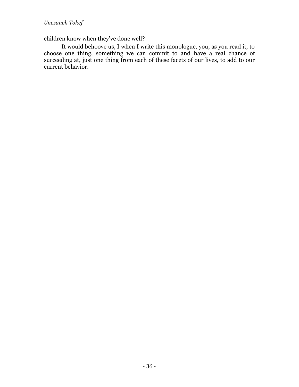### children know when they've done well?

It would behoove us, I when I write this monologue, you, as you read it, to choose one thing, something we can commit to and have a real chance of succeeding at, just one thing from each of these facets of our lives, to add to our current behavior.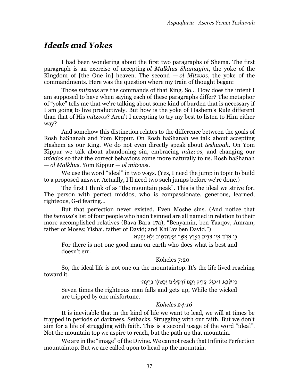## *Ideals and Yokes*

I had been wondering about the first two paragraphs of Shema. The first paragraph is an exercise of accepting *ol Malkhus Shamayim*, the yoke of the Kingdom of [the One in] heaven. The second  $-$  *ol Mitzvos*, the yoke of the commandments. Here was the question where my train of thought began:

Those *mitzvos* are the commands of that King. So… How does the intent I am supposed to have when saying each of these paragraphs differ? The metaphor of "yoke" tells me that we're talking about some kind of burden that is necessary if I am going to live productively. But how is the yoke of Hashem's Rule different than that of His *mitzvos*? Aren't I accepting to try my best to listen to Him either way?

And somehow this distinction relates to the difference between the goals of Rosh haShanah and Yom Kippur. On Rosh haShanah we talk about accepting Hashem as our King. We do not even directly speak about *teshuvah*. On Yom Kippur we talk about abandoning sin, embracing *mitzvos*, and changing our *middos* so that the correct behaviors come more naturally to us. Rosh haShanah — *ol Malkhus*. Yom Kippur — *ol mitzvos*.

We use the word "ideal" in two ways. (Yes, I need the jump in topic to build to a proposed answer. Actually, I'll need two such jumps before we're done.)

The first I think of as "the mountain peak". This is the ideal we strive for. The person with perfect middos, who is compassionate, generous, learned, righteous, G-d fearing…

But that perfection never existed. Even Moshe sins. (And notice that the *beraisa*'s list of four people who hadn't sinned are all named in relation to their more accomplished relatives [\(Bava Bara 17a](https://www.sefaria.org/Bava_Batra.17a.6)), "Benyamin, ben Yaaqov, Amram, father of Moses; Yishai, father of David; and Khil'av ben David.")

ּכִׂ֣י ָאדָ ֵ֔ם אֵ ׁ֥ין צַ דִ ֹׁ֖יק בָ אָ ָּ֑רֶׁ ץ אֲ ׁשֶׁ ׁ֥ר יַעֲשֶׁ ה־טֹׁ֖וֹב וְּ ֹלׁ֥א יֶׁחֱטִָֽ א׃

For there is not one good man on earth who does what is best and doesn't err.

— Koheles 7:20

So, the ideal life is not one on the mountaintop. It's the life lived reaching toward it.

ּכִּי *שֶׂבַע ׀ יִפְּוֹל* צַדִּיק וָקָם וּׁרְשָׁעִים יִכָּשְׁלוּ בְרָעָה:

Seven times the righteous man falls and gets up, While the wicked are tripped by one misfortune.

### *— Koheles 24:16*

It is inevitable that in the kind of life we want to lead, we will at times be trapped in periods of darkness. Setbacks. Struggling with our faith. But we don't aim for a life of struggling with faith. This is a second usage of the word "ideal". Not the mountain top we aspire to reach, but the path up that mountain.

We are in the "image" of the Divine. We cannot reach that Infinite Perfection mountaintop. But we are called upon to head up the mountain.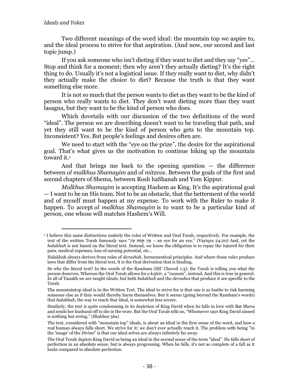Two different meanings of the word ideal: the mountain top we aspire to, and the ideal process to strive for that aspiration. (And now, our second and last topic jump.)

If you ask someone who isn't dieting if they want to diet and they say "yes"… Stop and think for a moment; then why aren't they actually dieting? It's the right thing to do. Usually it's not a logistical issue. If they really want to diet, why didn't they actually make the choice to diet? Because the truth is that they want something else more.

It is not so much that the person wants to diet as they want to be the kind of person who really wants to diet. They don't want dieting more than they want lasagna, but they want to be the kind of person who does.

Which dovetails with our discussion of the two definitions of the word "ideal". The person we are describing doesn't want to be traveling that path, and yet they still want to be the kind of person who gets to the mountain top. Inconsistent? Yes. But people's feelings and desires often are.

We need to start with the "eye on the prize", the desire for the aspirational goal. That's what gives us the motivation to continue hiking up the mountain toward it.<sup>1</sup>

And that brings me back to the opening question  $-$  the difference between *ol malkhus Shamayim* and *ol mitzvos*. Between the goals of the first and second chapters of Shema, between Rosh haShanah and Yom Kippur.

*Malkhus Shamayim* is accepting Hashem as King. It's the aspirational goal — I want to be on His team. Not to be an obstacle, that the betterment of the world and of myself must happen at my expense. To work with the Ruler to make it happen. To accept *ol malkhus Shamayim* is to want to be a particular kind of person, one whose will matches Hashem's Will.

<sup>&</sup>lt;sup>1</sup> I believe this same distinctions underly the roles of Written and Oral Torah, respectively. For example, the text of the written Torah famously says "וָיָן תַּחַת עַיֹּן – an eye for an eye." (Vayiqra 24:20) And, yet the *halakhah* is not based on the literal text. Instead, we know the obligation is to repay the injured for their pain, medical expenses, loss of earning potential, etc…

Halakhah always derives from rules of *derashah*, hermeneutical principles. And where those rules produce laws that differ from the literal text, it is the Oral derivation that is binding.

So why the literal text? In the words of the Rambam (Hil' Choveil 1:3), the Torah is telling you what the person deserves. Whereas the Oral Torah allows for a *kofeir*, a "ransom", instead. And this is true in general. In all of Tanakh we are taught ideals; but both *halakhah* and the *derashos* that produce it are specific to the Torah.

The mountaintop ideal is in the Written Text. The ideal to strive for is that one is as loathe to risk harming someone else as if they would thereby harm themselves. But it seems (going beyond the Rambam's words) that *halakhah*, the way to reach that ideal, is somewhat less severe.

Similarly, the text is quite condemning in its depiction of King David when he falls in love with Bat Sheva and sends her husband off to die in the wore. But the Oral Torah tells us, "Whomever says King David sinned is nothing but erring." (Shabbos 56a)

The text, considered with "mountain top" ideals, is about an ideal in the first sense of the word, and how a real human always falls short. We strive for it; we don't ever actually reach it. The problem with being "in the 'image' of the Divine" is that our ideal selves are always infinitely far away.

The Oral Torah depicts King David as being an ideal in the second sense of the term "ideal". He falls short of perfection in an absolute sense, but is always progressing. When he falls, it's not as complete of a fall as it looks compared to absolute perfection.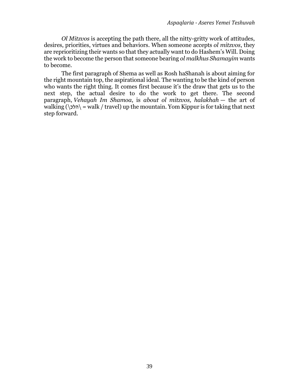*Ol Mitzvos* is accepting the path there, all the nitty-gritty work of attitudes, desires, priorities, virtues and behaviors. When someone accepts *ol mitzvos*, they are reprioritizing their wants so that they actually want to do Hashem's Will. Doing the work to become the person that someone bearing *ol malkhus Shamayim* wants to become.

The first paragraph of Shema as well as Rosh haShanah is about aiming for the right mountain top, the aspirational ideal. The wanting to be the kind of person who wants the right thing. It comes first because it's the draw that gets us to the next step, the actual desire to do the work to get there. The second paragraph, *Vehayah Im Shamoa*, is *about ol mitzvos, halakhah* — the art of walking (\הלכ $\langle \rangle$  = walk / travel) up the mountain. Yom Kippur is for taking that next step forward.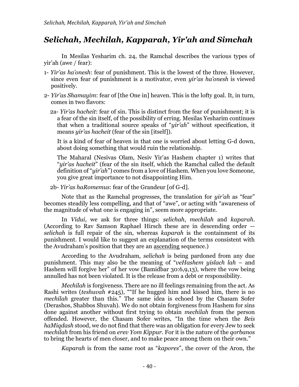## *Selichah, Mechilah, Kapparah, Yir'ah and Simchah*

In Mesilas Yesharim ch. 24, the Ramchal describes the various types of yir'ah (awe / fear):

- 1- *Yir'as ha'onesh*: fear of punishment. This is the lowest of the three. However, since even fear of punishment is a motivator, even *yir'as ha'onesh* is viewed positively.
- 2- *Yir'as Shamayim*: fear of [the One in] heaven. This is the lofty goal. It, in turn, comes in two flavors:
	- 2a- *Yir'as hacheit*: fear of sin. This is distinct from the fear of punishment; it is a fear of the sin itself, of the possibility of erring. Mesilas Yesharim continues that when a traditional source speaks of "*yir'ah*" without specification, it means *yir'as hacheit* (fear of the sin [itself]).

It is a kind of fear of heaven in that one is worried about letting G-d down, about doing something that would ruin the relationship.

The Maharal (Nesivas Olam, Nesiv Yir'as Hashem chapter 1) writes that "*yir'as hacheit*" (fear of the sin itself, which the Ramchal called the default definition of "*yir'ah*") comes from a love of Hashem. When you love Someone, you give great importance to not disappointing Him.

2b- *Yir'as haRomemus*: fear of the Grandeur [of G-d].

Note that as the Ramchal progresses, the translation for *yir'ah* as "fear" becomes steadily less compelling, and that of "awe", or acting with "awareness of the magnitude of what one is engaging in", seem more appropriate.

In *Vidui*, we ask for three things: *selichah*, *mechilah* and *kaparah*. (According to Rav Samson Raphael Hirsch these are in descending order *selichah* is full repair of the sin, whereas *kaparah* is the containment of its punishment. I would like to suggest an explanation of the terms consistent with the Avudraham's position that they are an ascending sequence.)

According to the Avudraham, *selichah* is being pardoned from any due punishment. This may also be the meaning of "*veHashem yislach lah* – and Hashem will forgive her" of her vow (Bamidbar 30:6,9,13), where the vow being annulled has not been violated. It is the release from a debt or responsibility.

*Mechilah* is forgiveness. There are no ill feelings remaining from the act. As Rashi writes (*teshuvah* #245), ""If he hugged him and kissed him, there is no *mechilah* greater than this." The same idea is echoed by the Chasam Sofer (Derashos, Shabbos Shuvah). We do not obtain forgiveness from Hashem for sins done against another without first trying to obtain *mechilah* from the person offended. However, the Chasam Sofer writes, "In the time when the *Beis haMiqdash* stood, we do not find that there was an obligation for every Jew to seek *mechilah* from his friend on *erev Yom Kippur*. For it is the nature of the *qorbanos*  to bring the hearts of men closer, and to make peace among them on their own."

*Kaparah* is from the same root as "*kapores*", the cover of the Aron, the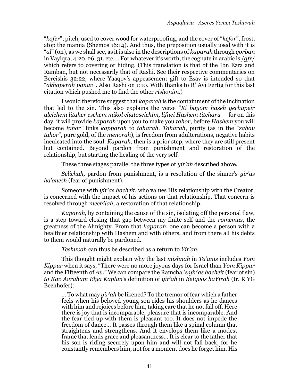"*kofer*", pitch, used to cover wood for waterproofing, and the cover of "*kefor*", frost, atop the manna (Shemos 16:14). And thus, the preposition usually used with it is "*al*" (on), as we shall see, as it is also in the descriptions of *kaparah* through *qorban* in Vayiqra, 4:20, 26, 31, etc…. For whatever it's worth, the cognate in arabic is /*gfr*/ which refers to covering or hiding. (This translation is that of the Ibn Ezra and Ramban, but not necessarily that of Rashi. See their respective commentaries on Bereishis 32:22, where Yaaqov's appeasement gift to Esav is intended so that "*akhaperah panav*". Also Rashi on 1:10. With thanks to R' Avi Fertig for this last citation which pushed me to find the other *rishonim*.)

I would therefore suggest that *kaparah* is the containment of the inclination that led to the sin. This also explains the verse "*Ki bayom hazeh yechapeir aleichem litaher eschem mikol chatoseichim, lifnei Hashem titeharu* — for on this day, it will provide *kaparah* upon you to make you *tahor,* before *Hashem* you will become *tahor"* links *kapparah* to *taharah. Taharah*, purity (as in the "*zahav tahor*", pure gold, of the *menorah*), is freedom from adulterations, negative habits inculcated into the soul. *Kaparah*, then is a prior step, where they are still present but contained. Beyond pardon from punishment and restoration of the relationship, but starting the healing of the very self.

These three stages parallel the three types of *yir'ah* described above.

*Selichah,* pardon from punishment, is a resolution of the sinner's *yir'as ha'onesh* (fear of punishment).

Someone with *yir'as hacheit*, who values His relationship with the Creator, is concerned with the impact of his actions on that relationship. That concern is resolved through *mechilah*, a restoration of that relationship.

*Kaparah*, by containing the cause of the sin, isolating off the personal flaw, is a step toward closing that gap between my finite self and the *romemus*, the greatness of the Almighty. From that *kaparah*, one can become a person with a healthier relationship with Hashem and with others, and from there all his debts to them would naturally be pardoned.

*Teshuvah* can thus be described as a return to *Yir'ah.*

This thought might explain why the last *mishnah* in *Ta'anis* includes *Yom Kippur* when it says, "There were no more joyous days for Israel than *Yom Kippur* and the Fifteenth of *Av.*" We can compare the Ramchal's *yir'as hacheit* (fear of sin) *to Rav Avraham Elya Kaplan's* definition of *yir'ah* in *BeIqvos haYirah* (tr. R YG Bechhofer):

… To what may *yir'ah* be likened? To the tremor of fear which a father feels when his beloved young son rides his shoulders as he dances with him and rejoices before him, taking care that he not fall off. Here there is joy that is incomparable, pleasure that is incomparable. And the fear tied up with them is pleasant too. It does not impede the freedom of dance… It passes through them like a spinal column that straightens and strengthens. And it envelops them like a modest frame that lends grace and pleasantness… It is clear to the father that his son is riding securely upon him and will not fall back, for he constantly remembers him, not for a moment does he forget him. His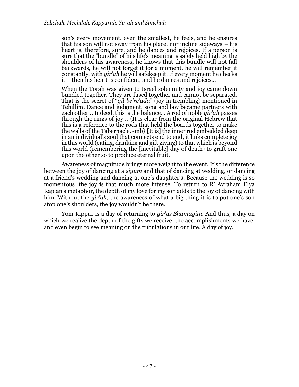son's every movement, even the smallest, he feels, and he ensures that his son will not sway from his place, nor incline sideways – his heart is, therefore, sure, and he dances and rejoices. If a person is sure that the "bundle" of hi s life's meaning is safely held high by the shoulders of his awareness, he knows that this bundle will not fall backwards, he will not forget it for a moment, he will remember it constantly, with *yir'ah* he will safekeep it. If every moment he checks it – then his heart is confident, and he dances and rejoices…

When the Torah was given to Israel solemnity and joy came down bundled together. They are fused together and cannot be separated. That is the secret of "*gil be're'ada*" (joy in trembling) mentioned in Tehillim. Dance and judgment, song and law became partners with each other… Indeed, this is the balance… A rod of noble *yir'ah* passes through the rings of joy… {It is clear from the original Hebrew that this is a reference to the rods that held the boards together to make the walls of the Tabernacle. -mb} [It is] the inner rod embedded deep in an individual's soul that connects end to end, it links complete joy in this world (eating, drinking and gift giving) to that which is beyond this world (remembering the [inevitable] day of death) to graft one upon the other so to produce eternal fruit.

Awareness of magnitude brings more weight to the event. It's the difference between the joy of dancing at a *siyum* and that of dancing at wedding, or dancing at a friend's wedding and dancing at one's daughter's. Because the wedding is so momentous, the joy is that much more intense. To return to R' Avraham Elya Kaplan's metaphor, the depth of my love for my son adds to the joy of dancing with him. Without the *yir'ah*, the awareness of what a big thing it is to put one's son atop one's shoulders, the joy wouldn't be there.

Yom Kippur is a day of returning to *yir'as Shamayim*. And thus, a day on which we realize the depth of the gifts we receive, the accomplishments we have, and even begin to see meaning on the tribulations in our life. A day of joy.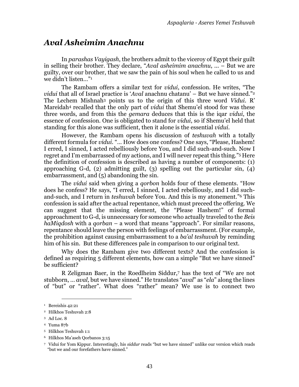## *Aval Asheimim Anachnu*

In *parashas Vayigash*, the brothers admit to the viceroy of Egypt their guilt in selling their brother. They declare, "*Aval asheimim anachnu*, ... – But we are guilty, over our brother, that we saw the pain of his soul when he called to us and we didn't listen…" 1

The Rambam offers a similar text for *vidui*, confession. He writes, "The *vidui* that all of Israel practice is '*Aval* anachnu chatanu' – But we have sinned." 2 The Lechem Mishnah<sup>3</sup> points us to the origin of this three word *Vidui*. R' Mareidah<sup>4</sup> recalled that the only part of *vidui* that Shemu'el stood for was these three words, and from this the *gemara* deduces that this is the iqar *vidui*, the essence of confession. One is obligated to stand for *vidui*, so if Shemu'el held that standing for this alone was sufficient, then it alone is the essential *vidui*.

However, the Rambam opens his discussion of *teshuvah* with a totally different formula for *vidui*. "… How does one confess? One says, "Please, Hashem! I erred, I sinned, I acted rebelliously before You, and I did such-and-such. Now I regret and I'm embarrassed of my actions, and I will never repeat this thing." <sup>5</sup> Here the definition of confession is described as having a number of components: (1) approaching G-d, (2) admitting guilt, (3) spelling out the particular sin, (4) embarrassment, and (5) abandoning the sin.

The *vidui* said when giving a *qorbon* holds four of these elements. "How does he confess? He says, "I erred, I sinned, I acted rebelliously, and I did suchand-such, and I return in *teshuvah* before You. And this is my atonement." <sup>6</sup> This confession is said after the actual repentance, which must preceed the offering. We can suggest that the missing element, the "Please Hashem!" of formal approachment to G-d, is unnecessary for someone who actually traveled to the *Beis haMiqdosh* with a *qorban* – a word that means "approach"*.* For similar reasons, repentance should leave the person with feelings of embarrassment. (For example, the prohibition against causing embarrassment to a *ba'al teshuvah* by reminding him of his sin. But these differences pale in comparison to our original text.

Why does the Rambam give two different texts? And the confession is defined as requiring 5 different elements, how can a simple "But we have sinned" be sufficient?

R Zeligman Baer, in the Roedlheim Siddur,<sup>7</sup> has the text of "We are not stubborn, … *aval,* but we have sinned." He translates "*aval*" as "*ela*" along the lines of "but" or "rather". What does "rather" mean? We use is to connect two

<sup>6</sup> Hilkhos Ma'aseh Qorbanos 3:15

<sup>&</sup>lt;sup>1</sup> Bereishis 42:21

<sup>2</sup> Hilkhos Teshuvah 2:8

<sup>3</sup> Ad Loc. 8

<sup>4</sup> Yuma 87b

<sup>5</sup> Hilkhos Teshuvah 1:1

<sup>7</sup> Vidui for Yom Kippur. Interestingly, his *siddur* reads "but we have sinned" unlike our version which reads "but we and our forefathers have sinned."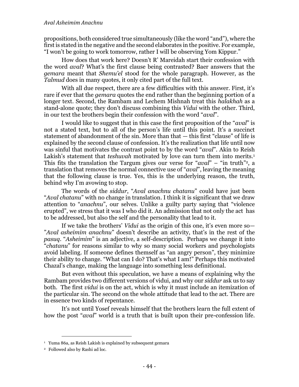propositions, both considered true simultaneously (like the word "and"), where the first is stated in the negative and the second elaborates in the positive. For example, "I won't be going to work tomorrow, rather I will be observing Yom Kippur."

How does that work here? Doesn't R' Mareidah start their confession with the word *aval*? What's the first clause being contrasted? Baer answers that the *gemara* meant that *Shemu'el* stood for the whole paragraph. However, as the *Talmud* does in many quotes, it only cited part of the full text.

With all due respect, there are a few difficulties with this answer. First, it's rare if ever that the *gemara* quotes the end rather than the beginning portion of a longer text. Second, the Rambam and Lechem Mishnah treat this *halakhah* as a stand-alone quote; they don't discuss combining this *Vidui* with the other. Third, in our text the brothers begin their confession with the word "*aval*".

I would like to suggest that in this case the first proposition of the "*aval*" is not a stated text, but to all of the person's life until this point. It's a succinct statement of abandonment of the sin. More than that — this first "clause" of life is explained by the second clause of confession. It's the realization that life until now was sinful that motivates the contrast point to by the word "*aval*". Akin to Reish Lakish's statement that *teshuvah* motivated by love can turn them into merits.<sup>1</sup> This fits the translation the Targum gives our verse for "*aval*" – "in truth" <sup>2</sup>, a translation that removes the normal connective use of "*aval*", leaving the meaning that the following clause is true. Yes, this is the underlying reason, the truth, behind why I'm avowing to stop.

The words of the *siddur*, "*Aval anachnu chatanu*" could have just been "*Aval chatanu*" with no change in translation. I think it is significant that we draw attention to "*anachnu*", our selves. Unlike a guilty party saying that "violence erupted", we stress that it was I who did it. An admission that not only the act has to be addressed, but also the self and the personality that lead to it.

If we take the brothers' *Vidui* as the origin of this one, it's even more so— "*Aval asheimim anachnu*" doesn't describe an activity, that's in the rest of the *pasuq*. "*Asheimim*" is an adjective, a self-description. Perhaps we change it into "*chatanu*" for reasons similar to why so many social workers and psychologists avoid labeling. If someone defines themself as "an angry person", they minimize their ability to change. "What can I do? That's what I am!" Perhaps this motivated Chazal's change, making the language into something less definitional.

But even without this speculation, we have a means of explaining why the Rambam provides two different versions of vidui, and why our *siddur* ask us to say both. The first *vidui* is on the act, which is why it must include an itemization of the particular sin. The second on the whole attitude that lead to the act. There are in essence two kinds of repentance.

It's not until Yosef reveals himself that the brothers learn the full extent of how the post "*aval*" world is a truth that is built upon their pre-confession life.

<sup>&</sup>lt;sup>1</sup> Yuma 86a, as Reish Lakish is explained by subsequent gemara

<sup>2</sup> Followed also by Rashi ad loc.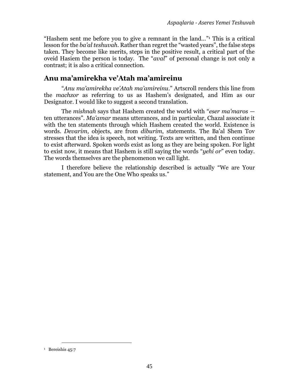"Hashem sent me before you to give a remnant in the land…" <sup>1</sup> This is a critical lesson for the *ba'al teshuvah*. Rather than regret the "wasted years", the false steps taken. They become like merits, steps in the positive result, a critical part of the oveid Hasiem the person is today. The "*aval*" of personal change is not only a contrast; it is also a critical connection.

### **Anu ma'amirekha ve'Atah ma'amireinu**

"*Anu ma'amirekha ve'Atah ma'amireinu*." Artscroll renders this line from the *machzor* as referring to us as Hashem's designated, and Him as our Designator. I would like to suggest a second translation.

The *mishnah* says that Hashem created the world with "*eser ma'maros* ten utterances". *Ma'amar* means utterances, and in particular, Chazal associate it with the ten statements through which Hashem created the world. Existence is words. *Devarim*, objects, are from *diburim*, statements. The Ba'al Shem Tov stresses that the idea is speech, not writing. Texts are written, and then continue to exist afterward. Spoken words exist as long as they are being spoken. For light to exist now, it means that Hashem is still saying the words "*yehi or*" even today. The words themselves are the phenomenon we call light.

I therefore believe the relationship described is actually "We are Your statement, and You are the One Who speaks us."

<sup>&</sup>lt;sup>1</sup> Bereishis 45:7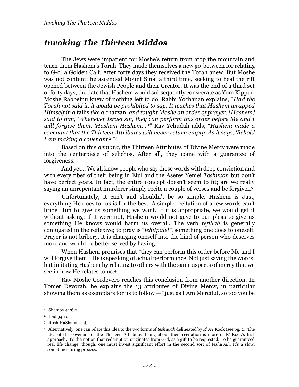## *Invoking The Thirteen Middos*

The Jews were impatient for Moshe's return from atop the mountain and teach them Hashem's Torah. They made themselves a new go-between for relating to G-d, a Golden Calf. After forty days they received the Torah anew. But Moshe was not content; he ascended Mount Sinai a third time, seeking to heal the rift opened between the Jewish People and their Creator. It was the end of a third set of forty days, the date that Hashem would subsequently consecrate as Yom Kippur. Moshe Rabbeinu knew of nothing left to do. Rabbi Yochanan explains, "*Had the Torah not said it, it would be prohibited to say. It teaches that Hashem wrapped Himself in a* tallis *like a* chazzan*, and taught Moshe an order of prayer. [Hashem] said to him, 'Whenever Israel sin, they can perform this order before Me and I will forgive them. 'Hashem Hashem…*' <sup>1</sup>" Rav Yehudah adds, "*Hashem made a covenant that the Thirteen Attributes will never return empty. As it says, 'Behold I am making a covenant'*2." 3

Based on this *gemara*, the Thirteen Attributes of Divine Mercy were made into the centerpiece of selichos. After all, they come with a guarantee of forgiveness.

And yet… We all know people who say these words with deep conviction and with every fiber of their being in Elul and the Aseres Yemei *Teshuvah* but don't have perfect years. In fact, the entire concept doesn't seem to fit; are we really saying an unrepentant murderer simply recite a couple of verses and be forgiven?

Unfortunately, it can't and shouldn't be so simple. Hashem is Just, everything He does for us is for the best. A simple recitation of a few words can't bribe Him to give us something we want. If it is appropriate, we would get it without asking; if it were not, Hashem would not gave to our pleas to give us something He knows would harm us overall. The verb *tefillah* is generally conjugated in the reflexive; to pray is "*lehitpalel"*, something one does to oneself. Prayer is not bribery, it is changing oneself into the kind of person who deserves more and would be better served by having.

When Hashem promises that "they can perform this order before Me and I will forgive them", He is speaking of actual performance. Not just saying the words, but imitating Hashem by relating to others with the same aspects of mercy that we see in how He relates to us.<sup>4</sup>

Rav Moshe Cordevero reaches this conclusion from another direction. In Tomer Devorah, he explains the 13 attributes of Divine Mercy, in particular showing them as exemplars for us to follow — "just as I Am Merciful, so too you be

<sup>&</sup>lt;sup>1</sup> Shemos 34:6-7

<sup>2</sup> Ibid 34:10

<sup>3</sup> Rosh HaShanah 17b

<sup>4</sup> Alternatively, one can relate this idea to the two forms of *teshuvah* delineated by R' AY Kook (see pg. [2\)](#page-5-0). The idea of the covenant of the Thirteen Attributes being about their recitation is more of R' Kook's first approach. It's the notion that redemption originates from G-d, as a gift to be requested. To be guaranteed real life change, though, one must invest significant effort in the second sort of *teshuvah*. It's a slow, sometimes tiring process.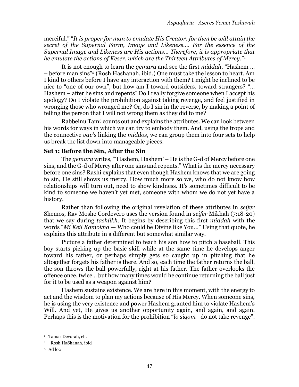merciful." "*It is proper for man to emulate His Creator, for then be will attain the secret of the Supernal Form, Image and Likeness…. For the essence of the Supernal Image and Likeness are His actions… Therefore, it is appropriate that he emulate the actions of Keser, which are the Thirteen Attributes of Mercy.*" 1

It is not enough to learn the *gemara* and see the first *middah*, "Hashem … – before man sins" <sup>2</sup> (Rosh Hashanah, ibid.) One must take the lesson to heart. Am I kind to others before I have any interaction with them? I might be inclined to be nice to "one of our own", but how am I toward outsiders, toward strangers? "… Hashem – after he sins and repents" Do I really forgive someone when I accept his apology? Do I violate the prohibition against taking revenge, and feel justified in wronging those who wronged me? Or, do I sin in the reverse, by making a point of telling the person that I will not wrong them as they did to me?

Rabbeinu Tam<sup>3</sup> counts out and explains the attributes. We can look between his words for ways in which we can try to embody them. And, using the trope and the connective *vav*'s linking the *middos*, we can group them into four sets to help us break the list down into manageable pieces.

### **Set 1: Before the Sin, After the Sin**

The *gemara* writes, "'Hashem, Hashem' – He is the G-d of Mercy before one sins, and the G-d of Mercy after one sins and repents." What is the mercy necessary before one sins? Rashi explains that even though Hashem knows that we are going to sin, He still shows us mercy. How much more so we, who do not know how relationships will turn out, need to show kindness. It's sometimes difficult to be kind to someone we haven't yet met, someone with whom we do not yet have a history.

Rather than following the original revelation of these attributes in *seifer* Shemos, Rav Moshe Cordevero uses the version found in *seifer* Mikhah (7:18-20) that we say during *tashlikh*. It begins by describing this first *middah* with the words "*Mi Keil Kamokha* — Who could be Divine like You…" Using that quote, he explains this attribute in a different but somewhat similar way.

Picture a father determined to teach his son how to pitch a baseball. This boy starts picking up the basic skill while at the same time he develops anger toward his father, or perhaps simply gets so caught up in pitching that he altogether forgets his father is there. And so, each time the father returns the ball, the son throws the ball powerfully, right at his father. The father overlooks the offence once, twice… but how many times would he continue returning the ball just for it to be used as a weapon against him?

Hashem sustains existence. We are here in this moment, with the energy to act and the wisdom to plan my actions because of His Mercy. When someone sins, he is using the very existence and power Hashem granted him to violate Hashem's Will. And yet, He gives us another opportunity again, and again, and again. Perhaps this is the motivation for the prohibition "*lo siqom* - do not take revenge".

<sup>1</sup> Tamar Devorah, ch. 1

<sup>2</sup> Rosh HaShanah, ibid

<sup>3</sup> Ad loc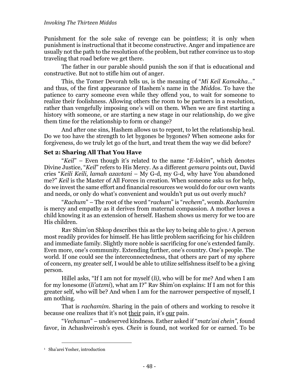Punishment for the sole sake of revenge can be pointless; it is only when punishment is instructional that it become constructive. Anger and impatience are usually not the path to the resolution of the problem, but rather convince us to stop traveling that road before we get there.

The father in our parable should punish the son if that is educational and constructive. But not to stifle him out of anger.

This, the Tomer Devorah tells us, is the meaning of "*Mi Keil Kamokha*…" and thus, of the first appearance of Hashem's name in the *Middos*. To have the patience to carry someone even while they offend you, to wait for someone to realize their foolishness. Allowing others the room to be partners in a resolution, rather than vengefully imposing one's will on them. When we are first starting a history with someone, or are starting a new stage in our relationship, do we give them time for the relationship to form or change?

And after one sins, Hashem allows us to repent, to let the relationship heal. Do we too have the strength to let bygones be bygones? When someone asks for forgiveness, do we truly let go of the hurt, and treat them the way we did before?

### **Set 2: Sharing All That You Have**

"*Keil*" – Even though it's related to the name "*E-lokim*", which denotes Divine Justice, "*Keil*" refers to His Mercy. As a different *gemara* points out, David cries "*Keili Keili, lamah azavtani* – My G-d, my G-d, why have You abandoned me?" *Keil* is the Master of All Forces in creation. When someone asks us for help, do we invest the same effort and financial resources we would do for our own wants and needs, or only do what's convenient and wouldn't put us out overly much?

"*Rachum*" – The root of the word "*rachum*" is "*rechem*", womb. *Rachamim* is mercy and empathy as it derives from maternal compassion. A mother loves a child knowing it as an extension of herself. Hashem shows us mercy for we too are His children.

Rav Shim'on Shkop describes this as the key to being able to give.<sup>1</sup> A person most readily provides for himself. He has little problem sacrificing for his children and immediate family. Slightly more noble is sacrificing for one's extended family. Even more, one's community. Extending further, one's country. One's people. The world. If one could see the interconnectedness, that others are part of my sphere of concern, my greater self, I would be able to utilize selfishness itself to be a giving person.

Hillel asks, "If I am not for myself (*li)*, who will be for me? And when I am for my lonesome (*li'atzmi*), what am I?" Rav Shim'on explains: If I am not for this greater self, who will be? And when I am for the narrower perspective of myself, I am nothing.

That is *rachamim*. Sharing in the pain of others and working to resolve it because one realizes that it's not their pain, it's our pain.

"*Vechanun*" – undeserved kindness. Esther asked if "*matz'asi chein"*, found favor, in Achashveirosh's eyes. *Chein* is found, not worked for or earned. To be

<sup>1</sup> Sha'arei Yosher, introduction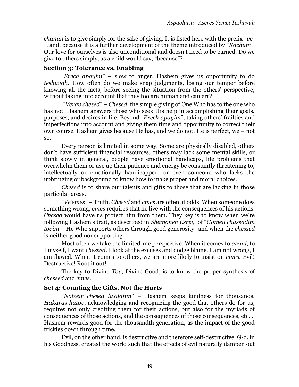*chanun* is to give simply for the sake of giving. It is listed here with the prefix "*ve-* ", and, because it is a further development of the theme introduced by "*Rachum*". Our love for ourselves is also unconditional and doesn't need to be earned. Do we give to others simply, as a child would say, "because"?

### **Section 3: Tolerance vs. Enabling**

"*Erech apayim*" – slow to anger. Hashem gives us opportunity to do *teshuvah*. How often do we make snap judgments, losing our temper before knowing all the facts, before seeing the situation from the others' perspective, without taking into account that they too are human and can err?

"*Verav chesed*" – *Chesed*, the simple giving of One Who has to the one who has not. Hashem answers those who seek His help in accomplishing their goals, purposes, and desires in life. Beyond "*Erech apayim*", taking others' frailties and imperfections into account and giving them time and opportunity to correct their own course. Hashem gives because He has, and we do not. He is perfect, we – not so.

Every person is limited in some way. Some are physically disabled, others don't have sufficient financial resources, others may lack some mental skills, or think slowly in general, people have emotional handicaps, life problems that overwhelm them or use up their patience and energy be constantly threatening to, intellectually or emotionally handicapped, or even someone who lacks the upbringing or background to know how to make proper and moral choices.

*Chesed* is to share our talents and gifts to those that are lacking in those particular areas.

"*Ve'emes*" – Truth. *Chesed* and *emes* are often at odds. When someone does something wrong, *emes* requires that he live with the consequences of his actions. *Chesed* would have us protect him from them. They key is to know when we're following Hashem's trait, as described in *Shemoneh Esrei*, of "*Gomeil chassadim tovim* – He Who supports others through good generosity" and when the *chessed* is neither good nor supporting.

Most often we take the limited-me perspective. When it comes to *atzmi*, to I myself, I want *chessed*. I look at the excuses and dodge blame. I am not wrong, I am flawed. When it comes to others, we are more likely to insist on *emes*. Evil! Destructive! Root it out!

The key to Divine *Tov*, Divine Good, is to know the proper synthesis of *chessed* and *emes*.

### **Set 4: Counting the Gifts, Not the Hurts**

"*Notzeir chesed la'alafim*" – Hashem keeps kindness for thousands. *Hakaras hatov*, acknowledging and recognizing the good that others do for us, requires not only crediting them for their actions, but also for the myriads of consequences of those actions, and the consequences of those consequences, etc…. Hashem rewards good for the thousandth generation, as the impact of the good trickles down through time.

Evil, on the other hand, is destructive and therefore self-destructive. G-d, in his Goodness, created the world such that the effects of evil naturally dampen out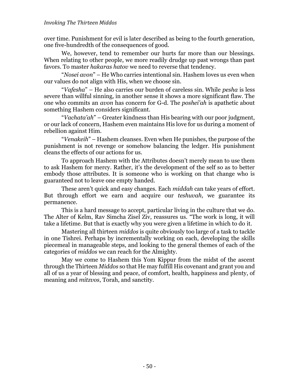#### *Invoking The Thirteen Middos*

over time. Punishment for evil is later described as being to the fourth generation, one five-hundredth of the consequences of good.

We, however, tend to remember our hurts far more than our blessings. When relating to other people, we more readily drudge up past wrongs than past favors. To master *hakaras hatov* we need to reverse that tendency.

"*Nosei avon*" – He Who carries intentional sin. Hashem loves us even when our values do not align with His, when we choose sin.

"*Vafesha*" – He also carries our burden of careless sin. While *pesha* is less severe than willful sinning, in another sense it shows a more significant flaw. The one who commits an *avon* has concern for G-d. The *poshei'ah* is apathetic about something Hashem considers significant.

"*Vachata'ah*" – Greater kindness than His bearing with our poor judgment, or our lack of concern, Hashem even maintains His love for us during a moment of rebellion against Him.

"*Venakeih*" – Hashem cleanses. Even when He punishes, the purpose of the punishment is not revenge or somehow balancing the ledger. His punishment cleans the effects of our actions for us.

To approach Hashem with the Attributes doesn't merely mean to use them to ask Hashem for mercy. Rather, it's the development of the self so as to better embody those attributes. It is someone who is working on that change who is guaranteed not to leave one empty handed.

These aren't quick and easy changes. Each *middah* can take years of effort. But through effort we earn and acquire our *teshuvah*, we guarantee its permanence.

This is a hard message to accept, particular living in the culture that we do. The Alter of Kelm, Rav Simcha Zisel Ziv, reassures us. "The work is long, it will take a lifetime. But that is exactly why you were given a lifetime in which to do it.

Mastering all thirteen *middos* is quite obviously too large of a task to tackle in one Tishrei. Perhaps by incrementally working on each, developing the skills piecemeal in manageable steps, and looking to the general themes of each of the categories of *middos* we can reach for the Almighty.

May we come to Hashem this Yom Kippur from the midst of the ascent through the Thirteen *Middos* so that He may fulfill His covenant and grant you and all of us a year of blessing and peace, of comfort, health, happiness and plenty, of meaning and *mitzvos*, Torah, and sanctity.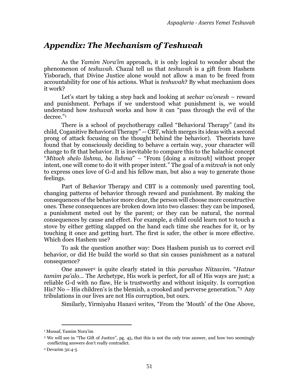## <span id="page-52-0"></span>*Appendix: The Mechanism of Teshuvah*

As the *Yamim Nora'im* approach, it is only logical to wonder about the phenomenon of *teshuvah*. Chazal tell us that *teshuvah* is a gift from Hashem Yisborach, that Divine Justice alone would not allow a man to be freed from accountability for one of his actions. What is *teshuvah*? By what mechanism does it work?

Let's start by taking a step back and looking at *sechar va'onesh* – reward and punishment. Perhaps if we understood what punishment is, we would understand how *teshuvah* works and how it can "pass through the evil of the decree." 1

There is a school of psychotherapy called "Behavioral Therapy" (and its child, Coganitive Behavioral Therapy" -- CBT, which merges its ideas with a second prong of attack focusing on the thought behind the behavior). Theorists have found that by consciously deciding to behave a certain way, your character will change to fit that behavior. It is inevitable to compare this to the halachic concept "*Mitoch shelo lishma, ba lishma*" – "From [doing a *mitzvah*] without proper intent, one will come to do it with proper intent." The goal of a *mitzvah* is not only to express ones love of G-d and his fellow man, but also a way to generate those feelings.

Part of Behavior Therapy and CBT is a commonly used parenting tool, changing patterns of behavior through reward and punishment. By making the consequences of the behavior more clear, the person will choose more constructive ones. These consequences are broken down into two classes: they can be imposed, a punishment meted out by the parent; or they can be natural, the normal consequences by cause and effect. For example, a child could learn not to touch a stove by either getting slapped on the hand each time she reaches for it, or by touching it once and getting hurt. The first is safer, the other is more effective. Which does Hashem use?

To ask the question another way: Does Hashem punish us to correct evil behavior, or did He build the world so that sin causes punishment as a natural consequence?

One answer<sup>2</sup> is quite clearly stated in this *parashas Nitzavim.* "*Hatzur tamim pa'alo…* The Archetype, His work is perfect, for all of His ways are just; a reliable G-d with no flaw, He is trustworthy and without iniquity. Is corruption His? No – His children's is the blemish, a crooked and perverse generation." <sup>3</sup> Any tribulations in our lives are not His corruption, but ours.

Similarly, Yirmiyahu Hanavi writes, "From the 'Mouth' of the One Above,

<sup>1</sup> Mussaf, Yamim Nora'im

<sup>&</sup>lt;sup>2</sup> We will see in "The Gift of Justice", pg. [45,](#page-61-0) that this is not the only true answer, and how two seemingly conflicting answers don't really contradict.

<sup>3</sup> Devarim 32:4-5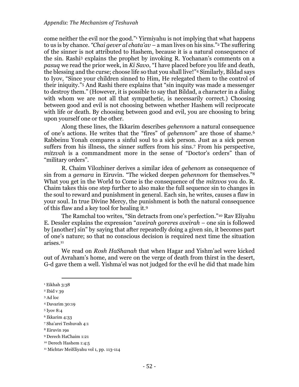come neither the evil nor the good." <sup>1</sup> Yirmiyahu is not implying that what happens to us is by chance. *"Chai gever al chata'av* – a man lives on his sins." <sup>2</sup> The suffering of the sinner is not attributed to Hashem, because it is a natural consequence of the sin. Rashi<sup>3</sup> explains the prophet by invoking R. Yochanan's comments on a *pasuq* we read the prior week, in *Ki Savo*, "I have placed before you life and death, the blessing and the curse; choose life so that you shall live!" <sup>4</sup> Similarly, Bildad says to Iyov, "Since your children sinned to Him, He relegated them to the control of their iniquity."<sup>5</sup> And Rashi there explains that "sin inquity was made a messenger to destroy them." (However, it is possible to say that Bildad, a character in a dialog with whom we are not all that sympathetic, is necessarily correct.) Choosing between good and evil is not choosing between whether Hashem will reciprocate with life or death. By choosing between good and evil, you are choosing to bring upon yourself one or the other.

Along these lines, the Ikkarim describes *gehennom* a natural consequence of one's actions. He writes that the "fires" of *gehennom*" are those of shame.<sup>6</sup> Rabbeinu Yonah compares a sinful soul to a sick person. Just as a sick person suffers from his illness, the sinner suffers from his sins.<sup>7</sup> From his perspective, *mitzvah* is a commandment more in the sense of "Doctor's orders" than of "military orders".

<span id="page-53-0"></span>R. Chaim Vilozhiner derives a similar idea of *gehenom* as consequence of sin from a *gemara* in Eiruvin. "The wicked deepen *gehennom* for themselves." 8 What you get in the World to Come is the consequence of the *mitzvos* you do. R. Chaim takes this one step further to also make the full sequence sin to changes in the soul to reward and punishment in general. Each sin, he writes, causes a flaw in your soul. In true Divine Mercy, the punishment is both the natural consequence of this flaw and a key tool for healing it.<sup>9</sup>

The Ramchal too writes, "Sin detracts from one's perfection." <sup>10</sup> Rav Eliyahu E. Dessler explains the expression "*aveirah goreres aveirah* – one sin is followed by [another] sin" by saying that after repeatedly doing a given sin, it becomes part of one's nature; so that no conscious decision is required next time the situation arises.<sup>11</sup>

We read on *Rosh HaShanah* that when Hagar and Yishm'ael were kicked out of Avraham's home, and were on the verge of death from thirst in the desert, G-d gave them a well. Yishma'el was not judged for the evil he did that made him

<sup>1</sup> Eikhah 3:38

<sup>2</sup> Ibid v 39

<sup>3</sup> Ad loc

<sup>4</sup> Davarim 30:19

<sup>5</sup> Iyov 8:4

<sup>6</sup> Ikkarim 4:33

<sup>7</sup> Sha'arei Teshuvah 4:1

<sup>8</sup> Eiruvin 19a

<sup>9</sup> Derech HaChaim 1:21

<sup>10</sup> Derech Hashem 1:4:5

<sup>11</sup> Michtav MeiEliyahu vol 1, pp. 113-114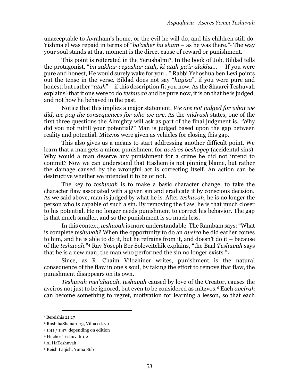unacceptable to Avraham's home, or the evil he will do, and his children still do. Yishma'el was repaid in terms of "*ba'asher hu sham* – as he was there." <sup>1</sup> The way your soul stands at that moment is the direct cause of reward or punishment.

This point is reiterated in the Yerushalmi<sup>2</sup>. In the book of Job, Bildad tells the protagonist, "*im zakhar veyashar atah, ki atah ya'ir alakha…* -- If you were pure and honest, He would surely wake for you…" Rabbi Yehoshua ben Levi points out the tense in the verse. Bildad does not say "*hayisa*", if you were pure and honest, but rather "*atah*" – if this description fit you now. As the Shaarei Teshuvah explains<sup>3</sup> that if one were to do *teshuvah* and be pure now, it is on that he is judged, and not how he behaved in the past.

Notice that this implies a major statement. *We are not judged for what we did, we pay the consequences for who we are*. As the *midrash* states, one of the first three questions the Almighty will ask as part of the final judgment is, "Why did you not fulfill your potential?" Man is judged based upon the gap between reality and potential. Mitzvos were given as vehicles for closing this gap.

This also gives us a means to start addressing another difficult point. We learn that a man gets a minor punishment for *aveiros beshogeg* (accidental sins). Why would a man deserve any punishment for a crime he did not intend to commit? Now we can understand that Hashem is not pinning blame, but rather the damage caused by the wrongful act is correcting itself. An action can be destructive whether we intended it to be or not.

The key to *teshuvah* is to make a basic character change, to take the character flaw associated with a given sin and eradicate it by conscious decision. As we said above, man is judged by what he is. After *teshuvah*, he is no longer the person who is capable of such a sin. By removing the flaw, he is that much closer to his potential. He no longer needs punishment to correct his behavior. The gap is that much smaller, and so the punishment is so much less.

In this context, *teshuvah* is more understandable. The Rambam says: "What is complete *teshuvah*? When the opportunity to do an *aveira* he did earlier comes to him, and he is able to do it, but he refrains from it, and doesn't do it – because of the *teshuvah*." <sup>4</sup> Rav Yoseph Ber Soleveitchik explains, "the Baal *Teshuvah* says that he is a new man; the man who performed the sin no longer exists." 5

Since, as R. Chaim Vilozhiner writes, punishment is the natural consequence of the flaw in one's soul, by taking the effort to remove that flaw, the punishment disappears on its own.

*Teshuvah mei'ahavah*, *teshuvah* caused by love of the Creator, causes the aveiros not just to be ignored, but even to be considered as mitzvos.<sup>6</sup> Each *aveirah* can become something to regret, motivation for learning a lesson, so that each

<sup>&</sup>lt;sup>1</sup> Bereishis 21:17

<sup>2</sup> Rosh haShanah 1:3, Vilna ed. 7b

 $31:41 / 1:47$ , depending on edition

<sup>4</sup> Hilchos Teshuvah 1:2

<sup>5</sup> Al HaTeshuvah

<sup>6</sup> Reish Laqish, Yuma 86b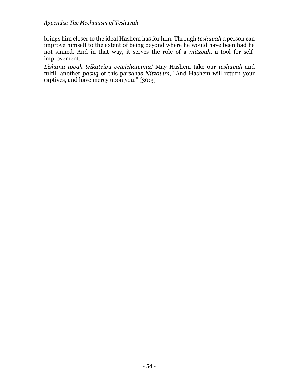brings him closer to the ideal Hashem has for him. Through *teshuvah* a person can improve himself to the extent of being beyond where he would have been had he not sinned. And in that way, it serves the role of a *mitzvah*, a tool for selfimprovement.

*Lishana tovah teikateivu veteichateimu!* May Hashem take our *teshuvah* and fulfill another *pasuq* of this parsahas *Nitzavim*, "And Hashem will return your captives, and have mercy upon you." (30:3)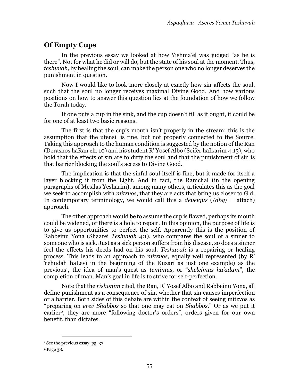### **Of Empty Cups**

In the previous essay we looked at how Yishma'el was judged "as he is there". Not for what he did or will do, but the state of his soul at the moment. Thus, *teshuvah*, by healing the soul, can make the person one who no longer deserves the punishment in question.

Now I would like to look more closely at exactly how sin affects the soul, such that the soul no longer receives maximal Divine Good. And how various positions on how to answer this question lies at the foundation of how we follow the Torah today.

If one puts a cup in the sink, and the cup doesn't fill as it ought, it could be for one of at least two basic reasons.

The first is that the cup's mouth isn't properly in the stream; this is the assumption that the utensil is fine, but not properly connected to the Source. Taking this approach to the human condition is suggested by the notion of the Ran (Derashos haRan ch. 10) and his student R' Yosef Albo (Seifer haIkarim 4:13), who hold that the effects of sin are to dirty the soul and that the punishment of sin is that barrier blocking the soul's access to Divine Good.

The implication is that the sinful soul itself is fine, but it made for itself a layer blocking it from the Light. And in fact, the Ramchal (in the opening paragraphs of Mesilas Yesharim), among many others, articulates this as the goal we seek to accomplish with *mitzvos*, that they are acts that bring us closer to G d. In contemporary terminology, we would call this a *deveiqus* (/*dbq*/ = attach) approach.

The other approach would be to assume the cup is flawed, perhaps its mouth could be widened, or there is a hole to repair. In this opinion, the purpose of life is to give us opportunities to perfect the self. Apparently this is the position of Rabbeinu Yona (Shaarei *Teshuvah* 4:1), who compares the soul of a sinner to someone who is sick. Just as a sick person suffers from his disease, so does a sinner feel the effects his deeds had on his soul. *Teshuvah* is a repairing or healing process. This leads to an approach to *mitzvos*, equally well represented (by R' Yehudah haLevi in the beginning of the Kuzari as just one example) as the previous<sup>1</sup> , the idea of man's quest as *temimus*, or "*sheleimus ha'adam*", the completion of man. Man's goal in life is to strive for self-perfection.

Note that the *rishonim* cited, the Ran, R' Yosef Albo and Rabbeinu Yona, all define punishment as a consequence of sin, whether that sin causes imperfection or a barrier. Both sides of this debate are within the context of seeing mitzvos as "preparing on *erev Shabbos* so that one may eat on *Shabbos*." Or as we put it earlier2, they are more "following doctor's orders", orders given for our own benefit, than dictates.

<sup>&</sup>lt;sup>1</sup> See the previous essay, pg. [37](#page-52-0)

<sup>2</sup> Pag[e 38.](#page-53-0)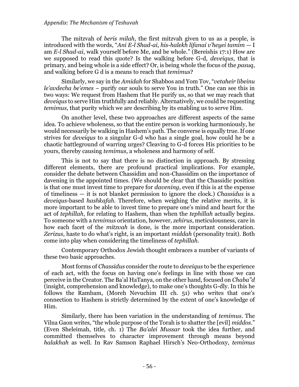#### *Appendix: The Mechanism of Teshuvah*

The mitzvah of *beris milah*, the first mitzvah given to us as a people, is introduced with the words, "*Ani E-l Shad-ai, his-halekh lifanai v'heyei tamim* — I am *E-l Shad-ai*, walk yourself before Me, and be whole." (Bereishis 17:1) How are we supposed to read this quote? Is the walking before G-d, *deveiqus*, that is primary, and being whole is a side effect? Or, is being whole the focus of the *pasuq*, and walking before G d is a means to reach that *temimus*?

Similarly, we say in the *Amidah* for Shabbos and Yom Tov, "*vetaheir libeinu le'avdecha be'emes* – purify our souls to serve You in truth." One can see this in two ways: We request from Hashem that He purify us, so that we may reach that *deveiqus* to serve Him truthfully and reliably. Alternatively, we could be requesting *temimus*, that purity which we are describing by its enabling us to serve Him.

On another level, these two approaches are different aspects of the same idea. To achieve wholeness, so that the entire person is working harmoniously, he would necessarily be walking in Hashem's path. The converse is equally true. If one strives for *deveiqus* to a singular G-d who has a single goal, how could he be a chaotic battleground of warring urges? Cleaving to G-d forces His priorities to be yours, thereby causing *temimus*, a wholeness and harmony of self.

This is not to say that there is no distinction in approach. By stressing different elements, there are profound practical implications. For example, consider the debate between Chassidim and non-Chassidim on the importance of davening in the appointed times. (We should be clear that the Chassidic position is that one must invest time to prepare for *davening*, even if this is at the expense of timeliness — it is not blanket permission to ignore the clock.) *Chassidus* is a *deveiqus*-based *hashkafah*. Therefore, when weighing the relative merits, it is more important to be able to invest time to prepare one's mind and heart for the act of *tephillah*, for relating to Hashem, than when the *tephillah* actually begins. To someone with a *temimus* orientation, however, *zehirus*, meticulousness, care in how each facet of the *mitzvah* is done, is the more important consideration. *Zerizus*, haste to do what's right, is an important *middah* (personality trait). Both come into play when considering the timeliness of *tephillah*.

Contemporary Orthodox Jewish thought embraces a number of variants of these two basic approaches.

Most forms of *Chassidus* consider the route to *deveiqus* to be the experience of each act, with the focus on having one's feelings in line with those we can perceive in the Creator. The Ba'al HaTanya, on the other hand, focused on *Chaba"d* (insight, comprehension and knowledge), to make one's thoughts G-dly. In this he follows the Rambam, (Moreh Nevuchim III ch. 51) who writes that one's connection to Hashem is strictly determined by the extent of one's knowledge of Him.

Similarly, there has been variation in the understanding of *temimus*. The Vilna Gaon writes, "the whole purpose of the Torah is to shatter the [evil] *middos*." (Even Sheleimah, title, ch. 1) The *Ba'alei Mussar* took the idea further, and committed themselves to character improvement through means beyond *halakhah* as well. In Rav Samson Raphael Hirsch's Neo-Orthodoxy, *temimus*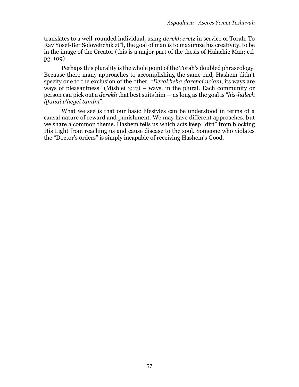translates to a well-rounded individual, using *derekh eretz* in service of Torah. To Rav Yosef-Ber Solovetichik zt"l, the goal of man is to maximize his creativity, to be in the image of the Creator (this is a major part of the thesis of Halachic Man; c.f. pg. 109)

Perhaps this plurality is the whole point of the Torah's doubled phraseology. Because there many approaches to accomplishing the same end, Hashem didn't specify one to the exclusion of the other. "*Derakheha darchei no'am*, its ways are ways of pleasantness" (Mishlei  $3:17$ ) – ways, in the plural. Each community or person can pick out a *derekh* that best suits him — as long as the goal is "*his-halech lifanai v'heyei tamim*".

What we see is that our basic lifestyles can be understood in terms of a causal nature of reward and punishment. We may have different approaches, but we share a common theme. Hashem tells us which acts keep "dirt" from blocking His Light from reaching us and cause disease to the soul. Someone who violates the "Doctor's orders" is simply incapable of receiving Hashem's Good.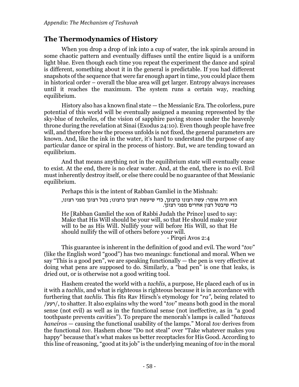### **The Thermodynamics of History**

When you drop a drop of ink into a cup of water, the ink spirals around in some chaotic pattern and eventually diffuses until the entire liquid is a uniform light blue. Even though each time you repeat the experiment the dance and spiral is different, something about it in the general is predictable. If you had different snapshots of the sequence that were far enough apart in time, you could place them in historical order – overall the blue area will get larger. Entropy always increases until it reaches the maximum. The system runs a certain way, reaching equilibrium.

History also has a known final state — the Messianic Era. The colorless, pure potential of this world will be eventually assigned a meaning represented by the sky-blue of *techeiles*, of the vision of sapphire paving stones under the heavenly throne during the revelation at Sinai (Exodus 24:10). Even though people have free will, and therefore how the process unfolds is not fixed, the general parameters are known. And, like the ink in the water, it's hard to understand the purpose of any particular dance or spiral in the process of history. But, we are tending toward an equilibrium.

And that means anything not in the equilibrium state will eventually cease to exist. At the end, there is no clear water. And, at the end, there is no evil. Evil must inherently destroy itself, or else there could be no guarantee of that Messianic equilibrium.

Perhaps this is the intent of Rabban Gamliel in the Mishnah:

הוא היה אומר: עשה רצונו כרצונך, כדי שיעשה רצונך כרצונו; בטל רצונך מפני רצונו, כדי שיבטל רצון אחרים מפני רצונך.

He [Rabban Gamliel the son of Rabbi Judah the Prince] used to say: Make that His Will should be your will, so that He should make your will to be as His Will. Nullify your will before His Will, so that He should nullify the will of others before your will.

- Pirqei Avos 2:4

This guarantee is inherent in the definition of good and evil. The word "*tov*" (like the English word "good") has two meanings: functional and moral. When we say "This is a good pen", we are speaking functionally — the pen is very effective at doing what pens are supposed to do. Similarly, a "bad pen" is one that leaks, is dried out, or is otherwise not a good writing tool.

Hashem created the world with a *tachlis*, a purpose, He placed each of us in it with a *tachlis*, and what is righteous is righteous because it is in accordance with furthering that *tachlis*. This fits Rav Hirsch's etymology for "*ra"*, being related to /רעע/, to shatter. It also explains why the word "*tov*" means both good in the moral sense (not evil) as well as in the functional sense (not ineffective, as in "a good toothpaste prevents cavities"). To prepare the menorah's lamps is called "*hatavas haneiros* — causing the functional usability of the lamps." Moral *tov* derives from the functional *tov*. Hashem chose "Do not steal" over "Take whatever makes you happy" because that's what makes us better receptacles for His Good. According to this line of reasoning, "good at its job" is the underlying meaning of *tov* in the moral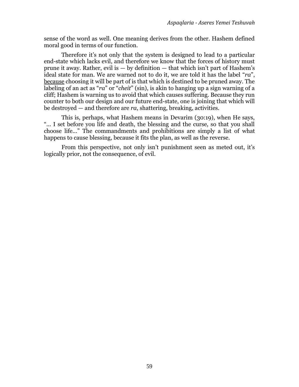sense of the word as well. One meaning derives from the other. Hashem defined moral good in terms of our function.

Therefore it's not only that the system is designed to lead to a particular end-state which lacks evil, and therefore we know that the forces of history must prune it away. Rather, evil is  $-$  by definition  $-$  that which isn't part of Hashem's ideal state for man. We are warned not to do it, we are told it has the label "*ra*", because choosing it will be part of is that which is destined to be pruned away. The labeling of an act as "*ra*" or "*cheit*" (sin), is akin to hanging up a sign warning of a cliff; Hashem is warning us to avoid that which causes suffering. Because they run counter to both our design and our future end-state, one is joining that which will be destroyed — and therefore are *ra*, shattering, breaking, activities.

This is, perhaps, what Hashem means in Devarim (30:19), when He says, "... I set before you life and death, the blessing and the curse, so that you shall choose life..." The commandments and prohibitions are simply a list of what happens to cause blessing, because it fits the plan, as well as the reverse.

From this perspective, not only isn't punishment seen as meted out, it's logically prior, not the consequence, of evil.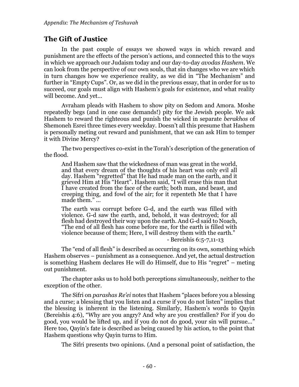### <span id="page-61-0"></span>**The Gift of Justice**

In the past couple of essays we showed ways in which reward and punishment are the effects of the person's actions, and connected this to the ways in which we approach our Judaism today and our day-to-day *avodas Hashem*. We can look from the perspective of our own souls, that sin changes who we are which in turn changes how we experience reality, as we did in "The Mechanism" and further in "Empty Cups". Or, as we did in the previous essay, that in order for us to succeed, our goals must align with Hashem's goals for existence, and what reality will become. And yet...

Avraham pleads with Hashem to show pity on Sedom and Amora. Moshe repeatedly begs (and in one case demands!) pity for the Jewish people. We ask Hashem to reward the righteous and punish the wicked in separate *berakhos* of Shemoneh Esrei three times every weekday. Doesn't all this presume that Hashem is personally meting out reward and punishment, that we can ask Him to temper it with Divine Mercy?

The two perspectives co-exist in the Torah's description of the generation of the flood.

And Hashem saw that the wickedness of man was great in the world, and that every dream of the thoughts of his heart was only evil all day. Hashem "regretted" that He had made man on the earth, and it grieved Him at His "Heart". Hashem said, "I will erase this man that I have created from the face of the earth; both man, and beast, and creeping thing, and fowl of the air; for it repenteth Me that I have made them." ...

The earth was corrupt before G-d, and the earth was filled with violence. G-d saw the earth, and, behold, it was destroyed; for all flesh had destroyed their way upon the earth. And G-d said to Noach, "The end of all flesh has come before me, for the earth is filled with violence because of them; Here, I will destroy them with the earth." - Bereishis 6:5-7,11-13

The "end of all flesh" is described as occurring on its own, something which Hashem observes – punishment as a consequence. And yet, the actual destruction is something Hashem declares He will do Himself, due to His "regret" – meting out punishment.

The chapter asks us to hold both perceptions simultaneously, neither to the exception of the other.

The Sifri on *parashas Re'ei* notes that Hashem "places before you a blessing and a curse; a blessing that you listen and a curse if you do not listen" implies that the blessing is inherent in the listening. Similarly, Hashem's words to Qayin (Bereishis 4:6), "Why are you angry? And why are you crestfallen? For if you do good, you would be lifted up, and if you do not do good, your sin will pursue..." Here too, Qayin's fate is described as being caused by his action, to the point that Hashem questions why Qayin turns to Him.

The Sifri presents two opinions. (And a personal point of satisfaction, the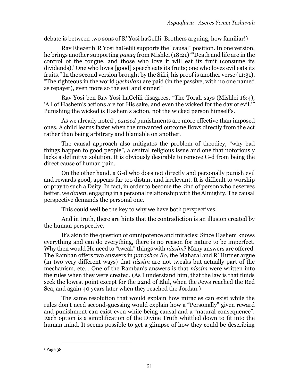debate is between two sons of R' Yosi haGelili. Brothers arguing, how familiar!)

Rav Eliezer b"R Yosi haGelili supports the "causal" position. In one version, he brings another supporting *pasuq* from Mishlei (18:21) "'Death and life are in the control of the tongue, and those who love it will eat its fruit (consume its dividends).' One who loves [good] speech eats its fruits; one who loves evil eats its fruits." In the second version brought by the Sifri, his proof is another verse (11:31), "The righteous in the world *yeshulam* are paid (in the passive, with no one named as repayer), even more so the evil and sinner!"

Rav Yosi ben Rav Yosi haGelili disagrees. "The Torah says (Mishlei 16:4), 'All of Hashem's actions are for His sake, and even the wicked for the day of evil.'" Punishing the wicked is Hashem's action, not the wicked person himself's.

As we already noted<sup>1</sup>, *caused* punishments are more effective than imposed ones. A child learns faster when the unwanted outcome flows directly from the act rather than being arbitrary and blamable on another.

The causal approach also mitigates the problem of theodicy, "why bad things happen to good people", a central religious issue and one that notoriously lacks a definitive solution. It is obviously desirable to remove G-d from being the direct cause of human pain.

On the other hand, a G-d who does not directly and personally punish evil and rewards good, appears far too distant and irrelevant. It is difficult to worship or pray to such a Deity. In fact, in order to become the kind of person who deserves better, we *daven*, engaging in a personal relationship with the Almighty. The causal perspective demands the personal one.

This could well be the key to why we have both perspectives.

And in truth, there are hints that the contradiction is an illusion created by the human perspective.

It's akin to the question of omnipotence and miracles: Since Hashem knows everything and can do everything, there is no reason for nature to be imperfect. Why then would He need to "tweak" things with *nissim*? Many answers are offered. The Ramban offers two answers in *parashas Bo*, the Maharal and R' Hutner argue (in two very different ways) that *nissim* are not tweaks but actually part of the mechanism, etc... One of the Ramban's answers is that *nissim* were written into the rules when they were created. (As I understand him, that the law is that fluids seek the lowest point except for the 22nd of Elul, when the Jews reached the Red Sea, and again 40 years later when they reached the Jordan.)

The same resolution that would explain how miracles can exist while the rules don't need second-guessing would explain how a "Personally" given reward and punishment can exist even while being causal and a "natural consequence". Each option is a simplification of the Divine Truth whittled down to fit into the human mind. It seems possible to get a glimpse of how they could be describing

<sup>&</sup>lt;sup>1</sup> Page [38](#page-53-0)